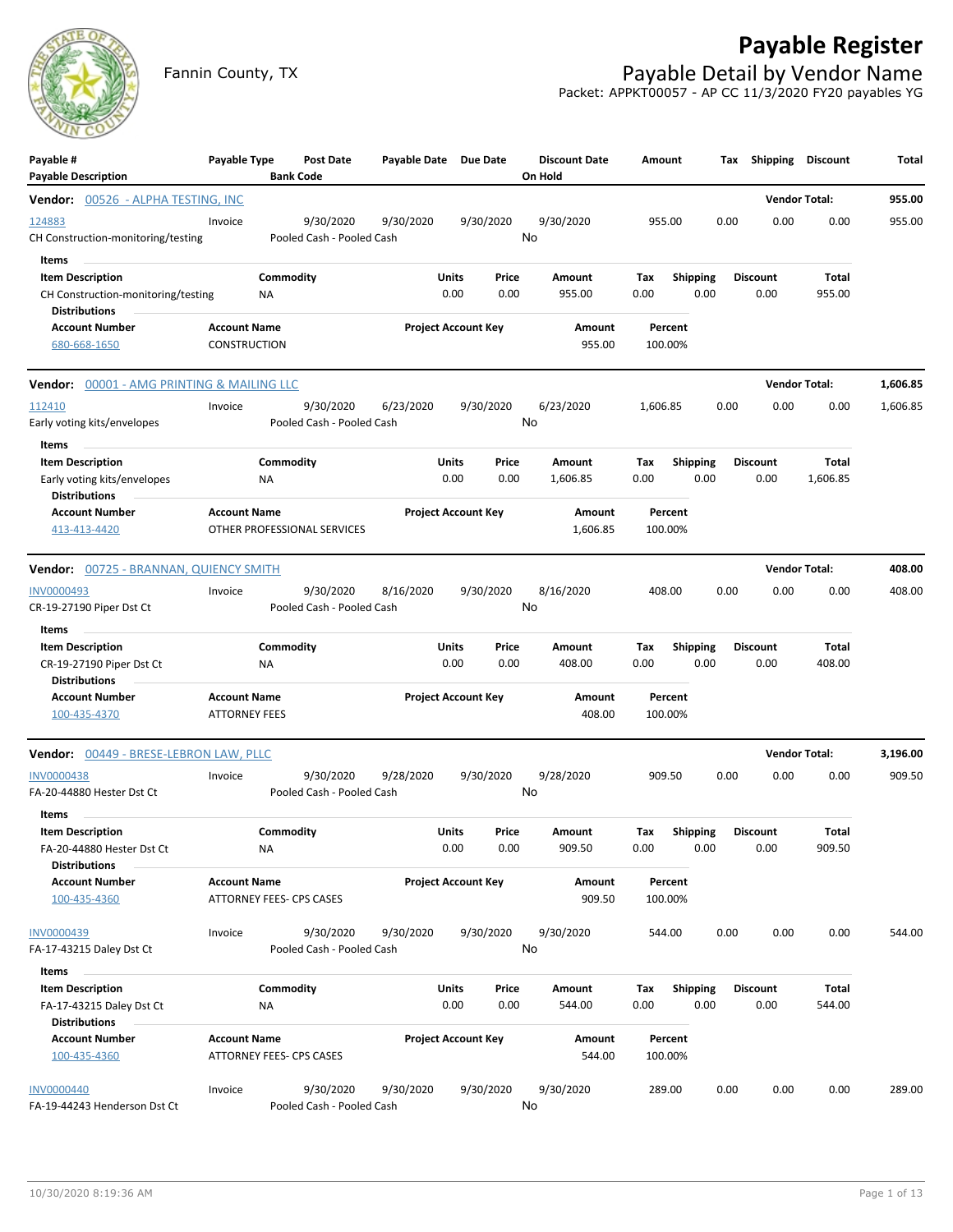## **Payable Register**



Fannin County, TX **Payable Detail by Vendor Name** Packet: APPKT00057 - AP CC 11/3/2020 FY20 payables YG

| Payable #<br><b>Payable Description</b>                                                 | Payable Type                                | <b>Bank Code</b>            | <b>Post Date</b> | Payable Date Due Date |                            |                 | <b>Discount Date</b><br>On Hold | Amount             |                         | Tax  | Shipping                | <b>Discount</b>      | Total    |
|-----------------------------------------------------------------------------------------|---------------------------------------------|-----------------------------|------------------|-----------------------|----------------------------|-----------------|---------------------------------|--------------------|-------------------------|------|-------------------------|----------------------|----------|
| <b>Vendor: 00526 - ALPHA TESTING, INC</b>                                               |                                             |                             |                  |                       |                            |                 |                                 |                    |                         |      |                         | <b>Vendor Total:</b> | 955.00   |
| 124883<br>CH Construction-monitoring/testing                                            | Invoice                                     | Pooled Cash - Pooled Cash   | 9/30/2020        | 9/30/2020             |                            | 9/30/2020<br>No | 9/30/2020                       | 955.00             |                         | 0.00 | 0.00                    | 0.00                 | 955.00   |
| Items<br><b>Item Description</b><br>CH Construction-monitoring/testing<br>Distributions |                                             | Commodity<br>ΝA             |                  |                       | Units<br>0.00              | Price<br>0.00   | Amount<br>955.00                | Тах<br>0.00        | Shipping<br>0.00        |      | <b>Discount</b><br>0.00 | Total<br>955.00      |          |
| <b>Account Number</b><br>680-668-1650                                                   | <b>Account Name</b><br><b>CONSTRUCTION</b>  |                             |                  |                       | <b>Project Account Key</b> |                 | Amount<br>955.00                | Percent<br>100.00% |                         |      |                         |                      |          |
| <b>Vendor:</b> 00001 - AMG PRINTING & MAILING LLC                                       |                                             |                             |                  |                       |                            |                 |                                 |                    |                         |      |                         | <b>Vendor Total:</b> | 1,606.85 |
| 112410<br>Early voting kits/envelopes<br>Items                                          | Invoice                                     | Pooled Cash - Pooled Cash   | 9/30/2020        | 6/23/2020             |                            | 9/30/2020<br>No | 6/23/2020                       | 1,606.85           |                         | 0.00 | 0.00                    | 0.00                 | 1,606.85 |
| <b>Item Description</b><br>Early voting kits/envelopes<br><b>Distributions</b>          |                                             | Commodity<br>ΝA             |                  |                       | Units<br>0.00              | Price<br>0.00   | Amount<br>1,606.85              | Tax<br>0.00        | <b>Shipping</b><br>0.00 |      | <b>Discount</b><br>0.00 | Total<br>1,606.85    |          |
| <b>Account Number</b><br>413-413-4420                                                   | <b>Account Name</b>                         | OTHER PROFESSIONAL SERVICES |                  |                       | <b>Project Account Key</b> |                 | Amount<br>1,606.85              | Percent<br>100.00% |                         |      |                         |                      |          |
| <b>Vendor:</b> 00725 - BRANNAN, QUIENCY SMITH                                           |                                             |                             |                  |                       |                            |                 |                                 |                    |                         |      |                         | <b>Vendor Total:</b> | 408.00   |
| <b>INV0000493</b><br>CR-19-27190 Piper Dst Ct                                           | Invoice                                     | Pooled Cash - Pooled Cash   | 9/30/2020        | 8/16/2020             |                            | 9/30/2020<br>No | 8/16/2020                       | 408.00             |                         | 0.00 | 0.00                    | 0.00                 | 408.00   |
| Items<br><b>Item Description</b><br>CR-19-27190 Piper Dst Ct<br><b>Distributions</b>    |                                             | Commodity<br>NA             |                  |                       | Units<br>0.00              | Price<br>0.00   | Amount<br>408.00                | Tax<br>0.00        | <b>Shipping</b><br>0.00 |      | Discount<br>0.00        | Total<br>408.00      |          |
| <b>Account Number</b><br>100-435-4370                                                   | <b>Account Name</b><br><b>ATTORNEY FEES</b> |                             |                  |                       | <b>Project Account Key</b> |                 | Amount<br>408.00                | Percent<br>100.00% |                         |      |                         |                      |          |
| Vendor: 00449 - BRESE-LEBRON LAW, PLLC                                                  |                                             |                             |                  |                       |                            |                 |                                 |                    |                         |      |                         | <b>Vendor Total:</b> | 3,196.00 |
| <b>INV0000438</b><br>FA-20-44880 Hester Dst Ct                                          | Invoice                                     | Pooled Cash - Pooled Cash   | 9/30/2020        | 9/28/2020             |                            | 9/30/2020<br>No | 9/28/2020                       | 909.50             |                         | 0.00 | 0.00                    | 0.00                 | 909.50   |
| Items<br><b>Item Description</b><br>FA-20-44880 Hester Dst Ct<br><b>Distributions</b>   |                                             | Commodity<br><b>NA</b>      |                  |                       | Units<br>0.00              | Price<br>0.00   | Amount<br>909.50                | Тах<br>0.00        | <b>Shipping</b><br>0.00 |      | <b>Discount</b><br>0.00 | Total<br>909.50      |          |
| <b>Account Number</b><br>100-435-4360                                                   | <b>Account Name</b>                         | ATTORNEY FEES- CPS CASES    |                  |                       | <b>Project Account Key</b> |                 | Amount<br>909.50                | Percent<br>100.00% |                         |      |                         |                      |          |
| INV0000439<br>FA-17-43215 Daley Dst Ct<br>Items                                         | Invoice                                     | Pooled Cash - Pooled Cash   | 9/30/2020        | 9/30/2020             |                            | 9/30/2020<br>No | 9/30/2020                       | 544.00             |                         | 0.00 | 0.00                    | 0.00                 | 544.00   |
| <b>Item Description</b><br>FA-17-43215 Daley Dst Ct<br><b>Distributions</b>             |                                             | Commodity<br>ΝA             |                  |                       | Units<br>0.00              | Price<br>0.00   | Amount<br>544.00                | Tax<br>0.00        | <b>Shipping</b><br>0.00 |      | Discount<br>0.00        | Total<br>544.00      |          |
| <b>Account Number</b><br>100-435-4360                                                   | <b>Account Name</b>                         | ATTORNEY FEES- CPS CASES    |                  |                       | <b>Project Account Key</b> |                 | Amount<br>544.00                | Percent<br>100.00% |                         |      |                         |                      |          |
| <b>INV0000440</b><br>FA-19-44243 Henderson Dst Ct                                       | Invoice                                     | Pooled Cash - Pooled Cash   | 9/30/2020        | 9/30/2020             |                            | 9/30/2020<br>No | 9/30/2020                       | 289.00             |                         | 0.00 | 0.00                    | 0.00                 | 289.00   |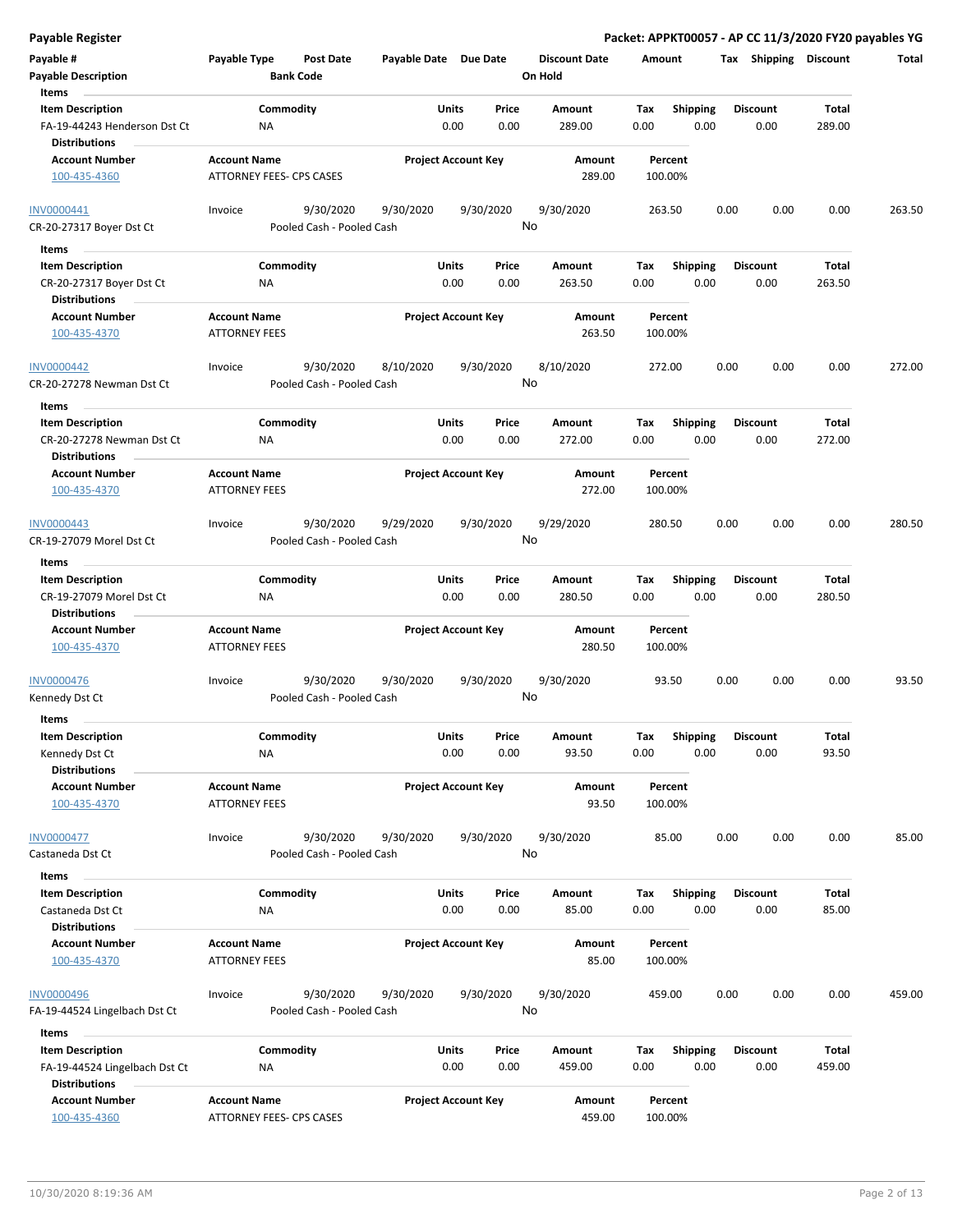| Payable #                                            | Payable Type                                | <b>Post Date</b>                       | Payable Date Due Date |                                       | <b>Discount Date</b> | Amount             |                 |      | Tax Shipping    | <b>Discount</b> | Total  |
|------------------------------------------------------|---------------------------------------------|----------------------------------------|-----------------------|---------------------------------------|----------------------|--------------------|-----------------|------|-----------------|-----------------|--------|
| <b>Payable Description</b><br>Items                  |                                             | <b>Bank Code</b>                       |                       |                                       | On Hold              |                    |                 |      |                 |                 |        |
| <b>Item Description</b>                              |                                             | Commodity                              |                       | Units<br>Price                        | Amount               | Tax                | <b>Shipping</b> |      | <b>Discount</b> | <b>Total</b>    |        |
| FA-19-44243 Henderson Dst Ct<br><b>Distributions</b> | ΝA                                          |                                        |                       | 0.00<br>0.00                          | 289.00               | 0.00               | 0.00            |      | 0.00            | 289.00          |        |
| <b>Account Number</b>                                | <b>Account Name</b>                         |                                        |                       | <b>Project Account Key</b>            | Amount               | Percent            |                 |      |                 |                 |        |
| 100-435-4360                                         | ATTORNEY FEES- CPS CASES                    |                                        |                       |                                       | 289.00               | 100.00%            |                 |      |                 |                 |        |
| INV0000441<br>CR-20-27317 Boyer Dst Ct               | Invoice                                     | 9/30/2020<br>Pooled Cash - Pooled Cash | 9/30/2020             | 9/30/2020                             | 9/30/2020<br>No      | 263.50             |                 | 0.00 | 0.00            | 0.00            | 263.50 |
|                                                      |                                             |                                        |                       |                                       |                      |                    |                 |      |                 |                 |        |
| Items                                                |                                             |                                        |                       |                                       |                      |                    |                 |      |                 |                 |        |
| <b>Item Description</b>                              |                                             | Commodity                              |                       | <b>Units</b><br>Price                 | Amount               | Tax                | <b>Shipping</b> |      | <b>Discount</b> | <b>Total</b>    |        |
| CR-20-27317 Boyer Dst Ct                             | ΝA                                          |                                        |                       | 0.00<br>0.00                          | 263.50               | 0.00               | 0.00            |      | 0.00            | 263.50          |        |
| <b>Distributions</b><br><b>Account Number</b>        | <b>Account Name</b>                         |                                        |                       |                                       | Amount               | Percent            |                 |      |                 |                 |        |
| 100-435-4370                                         | <b>ATTORNEY FEES</b>                        |                                        |                       | <b>Project Account Key</b>            | 263.50               | 100.00%            |                 |      |                 |                 |        |
| <b>INV0000442</b>                                    | Invoice                                     | 9/30/2020                              | 8/10/2020             | 9/30/2020                             | 8/10/2020            | 272.00             |                 | 0.00 | 0.00            | 0.00            | 272.00 |
| CR-20-27278 Newman Dst Ct                            |                                             | Pooled Cash - Pooled Cash              |                       |                                       | No                   |                    |                 |      |                 |                 |        |
| Items                                                |                                             |                                        |                       |                                       |                      |                    |                 |      |                 |                 |        |
| <b>Item Description</b>                              |                                             | Commodity                              |                       | Units<br>Price                        | Amount               | Tax                | <b>Shipping</b> |      | <b>Discount</b> | Total           |        |
| CR-20-27278 Newman Dst Ct                            | ΝA                                          |                                        |                       | 0.00<br>0.00                          | 272.00               | 0.00               | 0.00            |      | 0.00            | 272.00          |        |
| <b>Distributions</b>                                 |                                             |                                        |                       |                                       |                      |                    |                 |      |                 |                 |        |
| <b>Account Number</b>                                | <b>Account Name</b>                         |                                        |                       | <b>Project Account Key</b>            | Amount               | Percent            |                 |      |                 |                 |        |
| 100-435-4370                                         | <b>ATTORNEY FEES</b>                        |                                        |                       |                                       | 272.00               | 100.00%            |                 |      |                 |                 |        |
| INV0000443                                           | Invoice                                     | 9/30/2020                              | 9/29/2020             | 9/30/2020                             | 9/29/2020            | 280.50             |                 | 0.00 | 0.00            | 0.00            | 280.50 |
| CR-19-27079 Morel Dst Ct                             |                                             | Pooled Cash - Pooled Cash              |                       |                                       | No                   |                    |                 |      |                 |                 |        |
| Items                                                |                                             |                                        |                       |                                       |                      |                    |                 |      |                 |                 |        |
| <b>Item Description</b>                              |                                             | Commodity                              |                       | Units<br>Price                        | Amount               | Tax                | <b>Shipping</b> |      | <b>Discount</b> | <b>Total</b>    |        |
| CR-19-27079 Morel Dst Ct                             | ΝA                                          |                                        |                       | 0.00<br>0.00                          | 280.50               | 0.00               | 0.00            |      | 0.00            | 280.50          |        |
| <b>Distributions</b>                                 |                                             |                                        |                       |                                       |                      |                    |                 |      |                 |                 |        |
| <b>Account Number</b>                                | <b>Account Name</b>                         |                                        |                       | <b>Project Account Key</b>            | Amount               | Percent            |                 |      |                 |                 |        |
| 100-435-4370                                         | ATTORNEY FEES                               |                                        |                       |                                       | 280.50               | 100.00%            |                 |      |                 |                 |        |
| INV0000476                                           | Invoice                                     | 9/30/2020                              | 9/30/2020             | 9/30/2020                             | 9/30/2020            | 93.50              |                 | 0.00 | 0.00            | 0.00            | 93.50  |
| Kennedy Dst Ct                                       |                                             | Pooled Cash - Pooled Cash              |                       |                                       | No                   |                    |                 |      |                 |                 |        |
| <b>Items</b>                                         |                                             |                                        |                       |                                       |                      |                    |                 |      |                 |                 |        |
| <b>Item Description</b>                              |                                             | Commodity                              |                       | <b>Units</b><br>Price                 | Amount               | Тах                | <b>Shipping</b> |      | <b>Discount</b> | Total           |        |
| Kennedy Dst Ct                                       | <b>NA</b>                                   |                                        |                       | 0.00<br>0.00                          | 93.50                | 0.00               | 0.00            |      | 0.00            | 93.50           |        |
| <b>Distributions</b>                                 |                                             |                                        |                       |                                       |                      |                    |                 |      |                 |                 |        |
| <b>Account Number</b>                                | <b>Account Name</b>                         |                                        |                       | <b>Project Account Key</b>            | Amount               | Percent            |                 |      |                 |                 |        |
| 100-435-4370                                         | <b>ATTORNEY FEES</b>                        |                                        |                       |                                       | 93.50                | 100.00%            |                 |      |                 |                 |        |
| <b>INV0000477</b>                                    | Invoice                                     | 9/30/2020                              | 9/30/2020             | 9/30/2020                             | 9/30/2020            | 85.00              |                 | 0.00 | 0.00            | 0.00            | 85.00  |
| Castaneda Dst Ct                                     |                                             | Pooled Cash - Pooled Cash              |                       |                                       | No                   |                    |                 |      |                 |                 |        |
|                                                      |                                             |                                        |                       |                                       |                      |                    |                 |      |                 |                 |        |
| Items                                                |                                             |                                        |                       |                                       |                      |                    |                 |      |                 |                 |        |
| <b>Item Description</b>                              |                                             | Commodity                              |                       | <b>Units</b><br>Price<br>0.00<br>0.00 | Amount               | Tax                | <b>Shipping</b> |      | <b>Discount</b> | Total<br>85.00  |        |
| Castaneda Dst Ct<br><b>Distributions</b>             | NA                                          |                                        |                       |                                       | 85.00                | 0.00               | 0.00            |      | 0.00            |                 |        |
|                                                      |                                             |                                        |                       | <b>Project Account Key</b>            |                      |                    |                 |      |                 |                 |        |
| <b>Account Number</b><br>100-435-4370                | <b>Account Name</b><br><b>ATTORNEY FEES</b> |                                        |                       |                                       | Amount<br>85.00      | Percent<br>100.00% |                 |      |                 |                 |        |
|                                                      |                                             |                                        |                       |                                       |                      |                    |                 |      |                 |                 |        |
| <b>INV0000496</b>                                    | Invoice                                     | 9/30/2020                              | 9/30/2020             | 9/30/2020                             | 9/30/2020            | 459.00             |                 | 0.00 | 0.00            | 0.00            | 459.00 |
| FA-19-44524 Lingelbach Dst Ct                        |                                             | Pooled Cash - Pooled Cash              |                       |                                       | No                   |                    |                 |      |                 |                 |        |
| Items                                                |                                             |                                        |                       |                                       |                      |                    |                 |      |                 |                 |        |
| <b>Item Description</b>                              |                                             | Commodity                              |                       | <b>Units</b><br>Price                 | Amount               | Tax                | Shipping        |      | <b>Discount</b> | Total           |        |
| FA-19-44524 Lingelbach Dst Ct                        | ΝA                                          |                                        |                       | 0.00<br>0.00                          | 459.00               | 0.00               | 0.00            |      | 0.00            | 459.00          |        |
| <b>Distributions</b>                                 |                                             |                                        |                       |                                       |                      |                    |                 |      |                 |                 |        |
| <b>Account Number</b>                                | <b>Account Name</b>                         |                                        |                       | <b>Project Account Key</b>            | Amount               | Percent            |                 |      |                 |                 |        |
| 100-435-4360                                         | ATTORNEY FEES- CPS CASES                    |                                        |                       |                                       | 459.00               | 100.00%            |                 |      |                 |                 |        |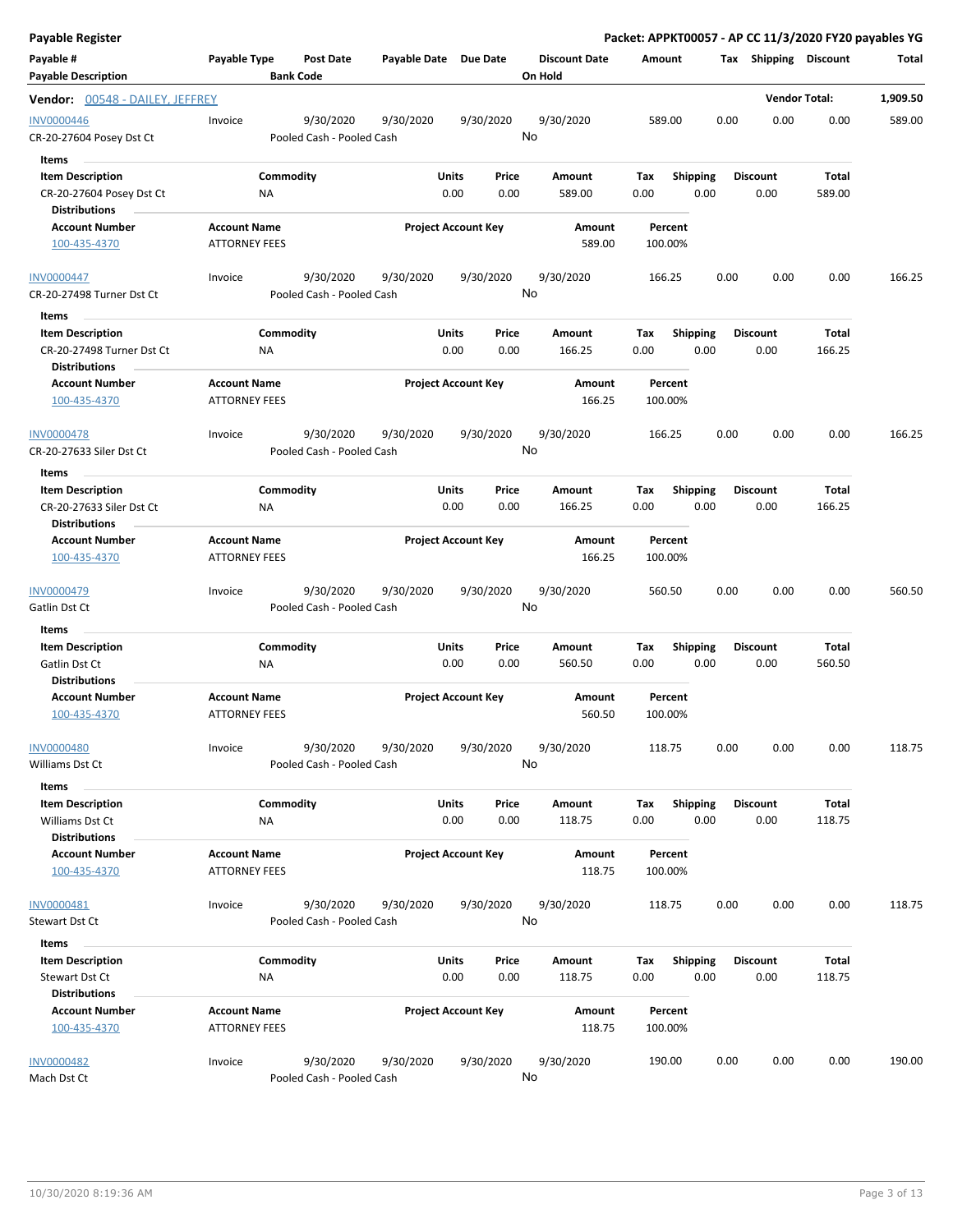| <b>Payable Register</b>                                                     |                                             |                                        |                       |                                |                                 | Packet: APPKT00057 - AP CC 11/3/2020 FY20 payables YG |                         |                         |                      |          |
|-----------------------------------------------------------------------------|---------------------------------------------|----------------------------------------|-----------------------|--------------------------------|---------------------------------|-------------------------------------------------------|-------------------------|-------------------------|----------------------|----------|
| Payable #<br><b>Payable Description</b>                                     | Payable Type                                | <b>Post Date</b><br><b>Bank Code</b>   | Payable Date Due Date |                                | <b>Discount Date</b><br>On Hold | Amount                                                |                         | Tax Shipping Discount   |                      | Total    |
| Vendor: 00548 - DAILEY, JEFFREY                                             |                                             |                                        |                       |                                |                                 |                                                       |                         |                         | <b>Vendor Total:</b> | 1,909.50 |
| <b>INV0000446</b><br>CR-20-27604 Posey Dst Ct                               | Invoice                                     | 9/30/2020<br>Pooled Cash - Pooled Cash | 9/30/2020             | 9/30/2020                      | 9/30/2020<br>No                 | 589.00                                                | 0.00                    | 0.00                    | 0.00                 | 589.00   |
| <b>Items</b><br><b>Item Description</b>                                     |                                             | Commodity                              |                       | Units<br>Price                 | Amount                          | Tax                                                   | <b>Shipping</b>         | <b>Discount</b>         | Total                |          |
| CR-20-27604 Posey Dst Ct<br><b>Distributions</b>                            | NA                                          |                                        |                       | 0.00<br>0.00                   | 589.00                          | 0.00                                                  | 0.00                    | 0.00                    | 589.00               |          |
| <b>Account Number</b><br>100-435-4370                                       | <b>Account Name</b><br><b>ATTORNEY FEES</b> |                                        |                       | <b>Project Account Key</b>     | <b>Amount</b><br>589.00         | Percent<br>100.00%                                    |                         |                         |                      |          |
| <b>INV0000447</b><br>CR-20-27498 Turner Dst Ct                              | Invoice                                     | 9/30/2020<br>Pooled Cash - Pooled Cash | 9/30/2020             | 9/30/2020                      | 9/30/2020<br>No                 | 166.25                                                | 0.00                    | 0.00                    | 0.00                 | 166.25   |
| Items                                                                       |                                             |                                        |                       |                                |                                 |                                                       |                         |                         |                      |          |
| <b>Item Description</b><br>CR-20-27498 Turner Dst Ct                        | NA                                          | Commodity                              |                       | Units<br>Price<br>0.00<br>0.00 | Amount<br>166.25                | Tax<br>0.00                                           | <b>Shipping</b><br>0.00 | <b>Discount</b><br>0.00 | Total<br>166.25      |          |
| <b>Distributions</b>                                                        |                                             |                                        |                       |                                |                                 |                                                       |                         |                         |                      |          |
| <b>Account Number</b><br>100-435-4370                                       | <b>Account Name</b><br><b>ATTORNEY FEES</b> |                                        |                       | <b>Project Account Key</b>     | Amount<br>166.25                | Percent<br>100.00%                                    |                         |                         |                      |          |
| <b>INV0000478</b><br>CR-20-27633 Siler Dst Ct                               | Invoice                                     | 9/30/2020<br>Pooled Cash - Pooled Cash | 9/30/2020             | 9/30/2020                      | 9/30/2020<br>No                 | 166.25                                                | 0.00                    | 0.00                    | 0.00                 | 166.25   |
| Items                                                                       |                                             |                                        |                       |                                |                                 |                                                       |                         |                         |                      |          |
| <b>Item Description</b><br>CR-20-27633 Siler Dst Ct<br><b>Distributions</b> | <b>NA</b>                                   | Commodity                              |                       | Units<br>Price<br>0.00<br>0.00 | Amount<br>166.25                | Tax<br>0.00                                           | <b>Shipping</b><br>0.00 | <b>Discount</b><br>0.00 | Total<br>166.25      |          |
| <b>Account Number</b><br>100-435-4370                                       | <b>Account Name</b><br><b>ATTORNEY FEES</b> |                                        |                       | <b>Project Account Key</b>     | Amount<br>166.25                | Percent<br>100.00%                                    |                         |                         |                      |          |
| <b>INV0000479</b><br>Gatlin Dst Ct                                          | Invoice                                     | 9/30/2020<br>Pooled Cash - Pooled Cash | 9/30/2020             | 9/30/2020                      | 9/30/2020<br>No                 | 560.50                                                | 0.00                    | 0.00                    | 0.00                 | 560.50   |
| Items                                                                       |                                             |                                        |                       |                                |                                 |                                                       |                         |                         |                      |          |
| <b>Item Description</b>                                                     |                                             | Commodity                              |                       | Units<br>Price                 | Amount                          | Tax                                                   | <b>Shipping</b>         | <b>Discount</b>         | Total                |          |
| Gatlin Dst Ct<br><b>Distributions</b>                                       | <b>NA</b>                                   |                                        |                       | 0.00<br>0.00                   | 560.50                          | 0.00                                                  | 0.00                    | 0.00                    | 560.50               |          |
| <b>Account Number</b><br>100-435-4370                                       | <b>Account Name</b><br><b>ATTORNEY FEES</b> |                                        |                       | <b>Project Account Key</b>     | Amount<br>560.50                | Percent<br>100.00%                                    |                         |                         |                      |          |
| <b>INV0000480</b><br>Williams Dst Ct                                        | Invoice                                     | 9/30/2020<br>Pooled Cash - Pooled Cash | 9/30/2020             | 9/30/2020                      | 9/30/2020<br>No                 | 118.75                                                | 0.00                    | 0.00                    | 0.00                 | 118.75   |
| Items                                                                       |                                             |                                        |                       |                                |                                 |                                                       |                         |                         |                      |          |
| <b>Item Description</b><br>Williams Dst Ct<br><b>Distributions</b>          | NA                                          | Commodity                              |                       | Units<br>Price<br>0.00<br>0.00 | Amount<br>118.75                | Tax<br>0.00                                           | <b>Shipping</b><br>0.00 | <b>Discount</b><br>0.00 | Total<br>118.75      |          |
| <b>Account Number</b><br>100-435-4370                                       | <b>Account Name</b><br><b>ATTORNEY FEES</b> |                                        |                       | <b>Project Account Key</b>     | Amount<br>118.75                | Percent<br>100.00%                                    |                         |                         |                      |          |
| INV0000481<br>Stewart Dst Ct                                                | Invoice                                     | 9/30/2020<br>Pooled Cash - Pooled Cash | 9/30/2020             | 9/30/2020                      | 9/30/2020<br>No                 | 118.75                                                | 0.00                    | 0.00                    | 0.00                 | 118.75   |
| Items                                                                       |                                             |                                        |                       |                                |                                 |                                                       |                         |                         |                      |          |
| <b>Item Description</b><br>Stewart Dst Ct<br><b>Distributions</b>           | NA                                          | Commodity                              |                       | Units<br>Price<br>0.00<br>0.00 | Amount<br>118.75                | Tax<br>0.00                                           | <b>Shipping</b><br>0.00 | <b>Discount</b><br>0.00 | Total<br>118.75      |          |
| <b>Account Number</b><br>100-435-4370                                       | <b>Account Name</b><br><b>ATTORNEY FEES</b> |                                        |                       | <b>Project Account Key</b>     | Amount<br>118.75                | Percent<br>100.00%                                    |                         |                         |                      |          |
| <b>INV0000482</b><br>Mach Dst Ct                                            | Invoice                                     | 9/30/2020<br>Pooled Cash - Pooled Cash | 9/30/2020             | 9/30/2020                      | 9/30/2020<br>No                 | 190.00                                                | 0.00                    | 0.00                    | 0.00                 | 190.00   |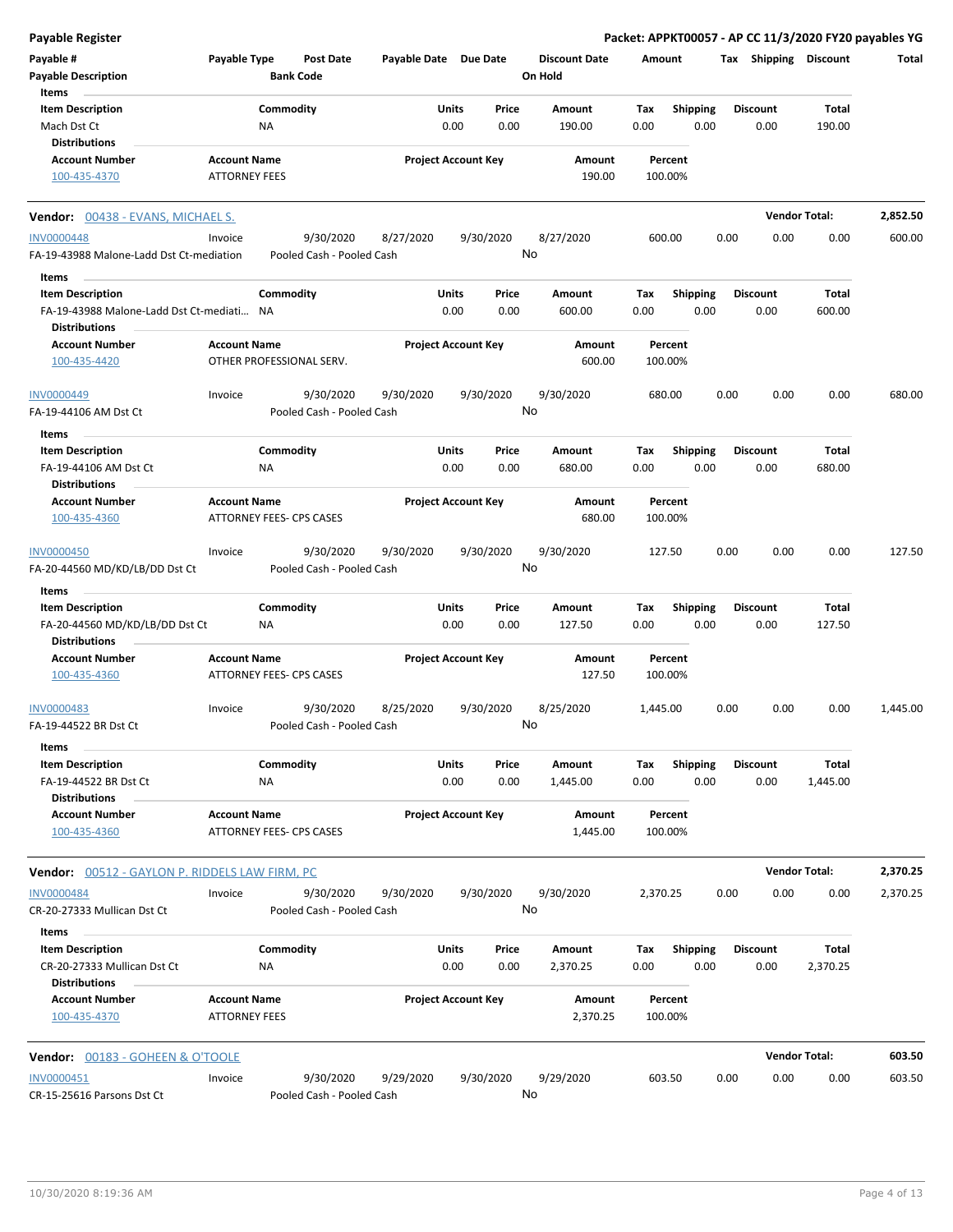| <b>Payable Register</b>                                |                                             |                                 |                           |                       |                            |               |                                 |             |                         |      |                         | Packet: APPKT00057 - AP CC 11/3/2020 FY20 payables YG |          |
|--------------------------------------------------------|---------------------------------------------|---------------------------------|---------------------------|-----------------------|----------------------------|---------------|---------------------------------|-------------|-------------------------|------|-------------------------|-------------------------------------------------------|----------|
| Payable #<br><b>Payable Description</b>                | Payable Type                                | <b>Bank Code</b>                | <b>Post Date</b>          | Payable Date Due Date |                            |               | <b>Discount Date</b><br>On Hold | Amount      |                         |      | Tax Shipping Discount   |                                                       | Total    |
| Items                                                  |                                             |                                 |                           |                       |                            |               |                                 |             |                         |      |                         |                                                       |          |
| <b>Item Description</b>                                |                                             | Commodity                       |                           |                       | Units                      | Price         | <b>Amount</b>                   | Tax         | <b>Shipping</b>         |      | <b>Discount</b>         | <b>Total</b>                                          |          |
| Mach Dst Ct                                            |                                             | NA                              |                           |                       | 0.00                       | 0.00          | 190.00                          | 0.00        | 0.00                    |      | 0.00                    | 190.00                                                |          |
| <b>Distributions</b>                                   |                                             |                                 |                           |                       |                            |               |                                 |             |                         |      |                         |                                                       |          |
| <b>Account Number</b>                                  | <b>Account Name</b>                         |                                 |                           |                       | <b>Project Account Key</b> |               | Amount                          |             | Percent                 |      |                         |                                                       |          |
| 100-435-4370                                           | <b>ATTORNEY FEES</b>                        |                                 |                           |                       |                            |               | 190.00                          | 100.00%     |                         |      |                         |                                                       |          |
| <b>Vendor:</b> 00438 - EVANS, MICHAEL S.               |                                             |                                 |                           |                       |                            |               |                                 |             |                         |      |                         | <b>Vendor Total:</b>                                  | 2,852.50 |
| <b>INV0000448</b>                                      | Invoice                                     |                                 | 9/30/2020                 | 8/27/2020             |                            | 9/30/2020     | 8/27/2020                       | 600.00      |                         | 0.00 | 0.00                    | 0.00                                                  | 600.00   |
| FA-19-43988 Malone-Ladd Dst Ct-mediation               |                                             |                                 | Pooled Cash - Pooled Cash |                       |                            | No            |                                 |             |                         |      |                         |                                                       |          |
| Items                                                  |                                             |                                 |                           |                       |                            |               |                                 |             |                         |      |                         |                                                       |          |
| <b>Item Description</b>                                |                                             | Commodity                       |                           |                       | Units                      | Price         | Amount                          | Tax         | Shipping                |      | <b>Discount</b>         | Total                                                 |          |
| FA-19-43988 Malone-Ladd Dst Ct-mediati NA              |                                             |                                 |                           |                       | 0.00                       | 0.00          | 600.00                          | 0.00        | 0.00                    |      | 0.00                    | 600.00                                                |          |
| <b>Distributions</b>                                   |                                             |                                 |                           |                       |                            |               |                                 |             |                         |      |                         |                                                       |          |
| <b>Account Number</b>                                  | <b>Account Name</b>                         |                                 |                           |                       | <b>Project Account Key</b> |               | Amount                          |             | Percent                 |      |                         |                                                       |          |
| 100-435-4420                                           |                                             |                                 | OTHER PROFESSIONAL SERV.  |                       |                            |               | 600.00                          | 100.00%     |                         |      |                         |                                                       |          |
| <b>INV0000449</b>                                      | Invoice                                     |                                 | 9/30/2020                 | 9/30/2020             |                            | 9/30/2020     | 9/30/2020                       | 680.00      |                         | 0.00 | 0.00                    | 0.00                                                  | 680.00   |
| FA-19-44106 AM Dst Ct                                  |                                             |                                 | Pooled Cash - Pooled Cash |                       |                            | No            |                                 |             |                         |      |                         |                                                       |          |
| Items                                                  |                                             |                                 |                           |                       |                            |               |                                 |             |                         |      |                         |                                                       |          |
| <b>Item Description</b>                                |                                             | Commodity                       |                           |                       | Units                      | Price         | Amount                          | Tax         | <b>Shipping</b>         |      | <b>Discount</b>         | Total                                                 |          |
| FA-19-44106 AM Dst Ct                                  |                                             | ΝA                              |                           |                       | 0.00                       | 0.00          | 680.00                          | 0.00        | 0.00                    |      | 0.00                    | 680.00                                                |          |
| Distributions                                          |                                             |                                 |                           |                       |                            |               |                                 |             |                         |      |                         |                                                       |          |
| <b>Account Number</b>                                  | <b>Account Name</b>                         |                                 |                           |                       | <b>Project Account Key</b> |               | Amount                          |             | Percent                 |      |                         |                                                       |          |
| 100-435-4360                                           |                                             | <b>ATTORNEY FEES- CPS CASES</b> |                           |                       |                            |               | 680.00                          | 100.00%     |                         |      |                         |                                                       |          |
| INV0000450                                             | Invoice                                     |                                 | 9/30/2020                 | 9/30/2020             |                            | 9/30/2020     | 9/30/2020                       | 127.50      |                         | 0.00 | 0.00                    | 0.00                                                  | 127.50   |
| FA-20-44560 MD/KD/LB/DD Dst Ct                         |                                             |                                 | Pooled Cash - Pooled Cash |                       |                            | No            |                                 |             |                         |      |                         |                                                       |          |
| Items                                                  |                                             |                                 |                           |                       |                            |               |                                 |             |                         |      |                         |                                                       |          |
| <b>Item Description</b>                                |                                             | Commodity                       |                           |                       | Units                      | Price         | Amount                          | Tax         | <b>Shipping</b>         |      | <b>Discount</b>         | Total                                                 |          |
| FA-20-44560 MD/KD/LB/DD Dst Ct                         |                                             | ΝA                              |                           |                       | 0.00                       | 0.00          | 127.50                          | 0.00        | 0.00                    |      | 0.00                    | 127.50                                                |          |
| <b>Distributions</b>                                   |                                             |                                 |                           |                       |                            |               |                                 |             |                         |      |                         |                                                       |          |
| <b>Account Number</b>                                  | <b>Account Name</b>                         |                                 |                           |                       | <b>Project Account Key</b> |               | Amount                          |             | Percent                 |      |                         |                                                       |          |
| 100-435-4360                                           |                                             | <b>ATTORNEY FEES- CPS CASES</b> |                           |                       |                            |               | 127.50                          | 100.00%     |                         |      |                         |                                                       |          |
| INV0000483                                             | Invoice                                     |                                 | 9/30/2020                 | 8/25/2020             |                            | 9/30/2020     | 8/25/2020                       | 1,445.00    |                         | 0.00 | 0.00                    | 0.00                                                  | 1,445.00 |
| FA-19-44522 BR Dst Ct<br>Items                         |                                             |                                 | Pooled Cash - Pooled Cash |                       |                            | No            |                                 |             |                         |      |                         |                                                       |          |
| <b>Item Description</b>                                |                                             | Commodity                       |                           |                       | Units                      | Price         | Amount                          | Tax         | <b>Shipping</b>         |      | <b>Discount</b>         | <b>Total</b>                                          |          |
| FA-19-44522 BR Dst Ct<br><b>Distributions</b>          |                                             | NA                              |                           |                       | 0.00                       | 0.00          | 1,445.00                        | 0.00        | 0.00                    |      | 0.00                    | 1,445.00                                              |          |
| <b>Account Number</b><br>100-435-4360                  | <b>Account Name</b>                         | ATTORNEY FEES- CPS CASES        |                           |                       | <b>Project Account Key</b> |               | Amount<br>1,445.00              | 100.00%     | Percent                 |      |                         |                                                       |          |
| <b>Vendor: 00512 - GAYLON P. RIDDELS LAW FIRM, PC</b>  |                                             |                                 |                           |                       |                            |               |                                 |             |                         |      |                         | <b>Vendor Total:</b>                                  | 2,370.25 |
| <b>INV0000484</b>                                      | Invoice                                     |                                 | 9/30/2020                 | 9/30/2020             |                            | 9/30/2020     | 9/30/2020                       | 2,370.25    |                         | 0.00 | 0.00                    | 0.00                                                  | 2,370.25 |
| CR-20-27333 Mullican Dst Ct                            |                                             |                                 | Pooled Cash - Pooled Cash |                       |                            | No            |                                 |             |                         |      |                         |                                                       |          |
| Items                                                  |                                             |                                 |                           |                       |                            |               |                                 |             |                         |      |                         |                                                       |          |
| <b>Item Description</b><br>CR-20-27333 Mullican Dst Ct |                                             | Commodity<br>ΝA                 |                           |                       | Units<br>0.00              | Price<br>0.00 | Amount<br>2,370.25              | Тах<br>0.00 | <b>Shipping</b><br>0.00 |      | <b>Discount</b><br>0.00 | Total<br>2,370.25                                     |          |
| <b>Distributions</b>                                   |                                             |                                 |                           |                       |                            |               |                                 |             |                         |      |                         |                                                       |          |
| <b>Account Number</b><br>100-435-4370                  | <b>Account Name</b><br><b>ATTORNEY FEES</b> |                                 |                           |                       | <b>Project Account Key</b> |               | Amount<br>2,370.25              | 100.00%     | Percent                 |      |                         |                                                       |          |
| <b>Vendor: 00183 - GOHEEN &amp; O'TOOLE</b>            |                                             |                                 |                           |                       |                            |               |                                 |             |                         |      |                         | <b>Vendor Total:</b>                                  | 603.50   |
| INV0000451                                             | Invoice                                     |                                 | 9/30/2020                 | 9/29/2020             |                            | 9/30/2020     | 9/29/2020                       | 603.50      |                         | 0.00 | 0.00                    | 0.00                                                  | 603.50   |
| CR-15-25616 Parsons Dst Ct                             |                                             |                                 | Pooled Cash - Pooled Cash |                       |                            | No            |                                 |             |                         |      |                         |                                                       |          |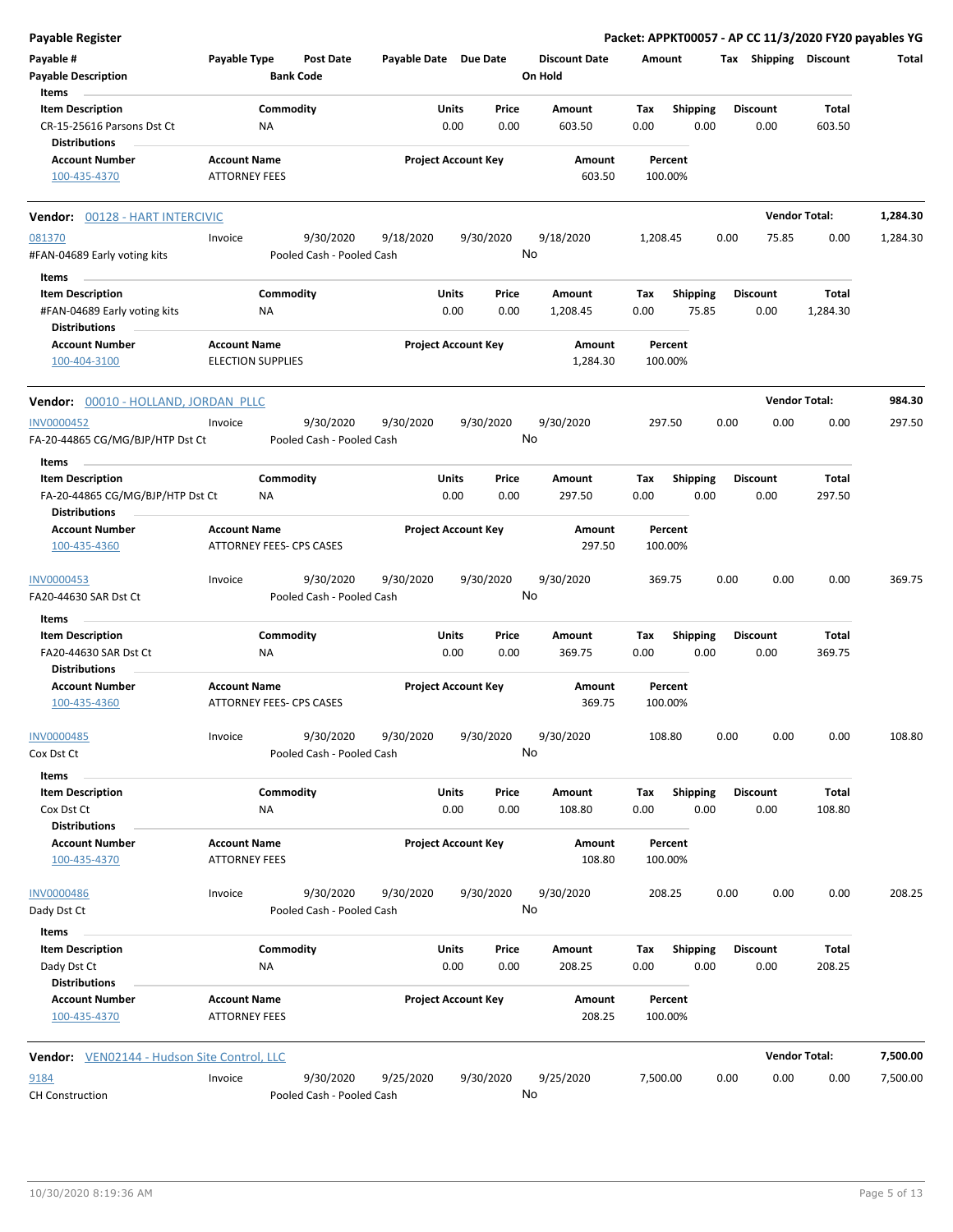| <b>Payable Register</b>                                  |                      |                                 |                       |                            |       |                                 |          |                 |      |                       | Packet: APPKT00057 - AP CC 11/3/2020 FY20 payables YG |          |
|----------------------------------------------------------|----------------------|---------------------------------|-----------------------|----------------------------|-------|---------------------------------|----------|-----------------|------|-----------------------|-------------------------------------------------------|----------|
| Payable #<br><b>Payable Description</b>                  | Payable Type         | Post Date<br><b>Bank Code</b>   | Payable Date Due Date |                            |       | <b>Discount Date</b><br>On Hold | Amount   |                 |      | Tax Shipping Discount |                                                       | Total    |
| Items                                                    |                      |                                 |                       |                            |       |                                 |          |                 |      |                       |                                                       |          |
| <b>Item Description</b>                                  |                      | Commodity                       |                       | Units                      | Price | <b>Amount</b>                   | Tax      | Shipping        |      | <b>Discount</b>       | <b>Total</b>                                          |          |
| CR-15-25616 Parsons Dst Ct<br><b>Distributions</b>       |                      | <b>NA</b>                       |                       | 0.00                       | 0.00  | 603.50                          | 0.00     | 0.00            |      | 0.00                  | 603.50                                                |          |
| <b>Account Number</b>                                    | <b>Account Name</b>  |                                 |                       | <b>Project Account Key</b> |       | Amount                          |          | Percent         |      |                       |                                                       |          |
| 100-435-4370                                             | <b>ATTORNEY FEES</b> |                                 |                       |                            |       | 603.50                          |          | 100.00%         |      |                       |                                                       |          |
| Vendor: 00128 - HART INTERCIVIC                          |                      |                                 |                       |                            |       |                                 |          |                 |      |                       | <b>Vendor Total:</b>                                  | 1,284.30 |
| 081370                                                   | Invoice              | 9/30/2020                       | 9/18/2020             | 9/30/2020                  |       | 9/18/2020                       | 1,208.45 |                 | 0.00 | 75.85                 | 0.00                                                  | 1,284.30 |
| #FAN-04689 Early voting kits                             |                      | Pooled Cash - Pooled Cash       |                       |                            |       | No                              |          |                 |      |                       |                                                       |          |
| Items                                                    |                      |                                 |                       |                            |       |                                 |          |                 |      |                       |                                                       |          |
| <b>Item Description</b>                                  |                      | Commodity                       |                       | Units                      | Price | Amount                          | Tax      | <b>Shipping</b> |      | <b>Discount</b>       | <b>Total</b>                                          |          |
| #FAN-04689 Early voting kits                             |                      | NA                              |                       | 0.00                       | 0.00  | 1,208.45                        | 0.00     | 75.85           |      | 0.00                  | 1,284.30                                              |          |
| <b>Distributions</b>                                     |                      |                                 |                       |                            |       |                                 |          |                 |      |                       |                                                       |          |
| <b>Account Number</b>                                    | <b>Account Name</b>  |                                 |                       | <b>Project Account Key</b> |       | Amount                          |          | Percent         |      |                       |                                                       |          |
| 100-404-3100                                             |                      | <b>ELECTION SUPPLIES</b>        |                       |                            |       | 1,284.30                        |          | 100.00%         |      |                       |                                                       |          |
| Vendor: 00010 - HOLLAND, JORDAN PLLC                     |                      |                                 |                       |                            |       |                                 |          |                 |      |                       | <b>Vendor Total:</b>                                  | 984.30   |
| <b>INV0000452</b>                                        | Invoice              | 9/30/2020                       | 9/30/2020             | 9/30/2020                  |       | 9/30/2020                       | 297.50   |                 | 0.00 | 0.00                  | 0.00                                                  | 297.50   |
| FA-20-44865 CG/MG/BJP/HTP Dst Ct                         |                      | Pooled Cash - Pooled Cash       |                       |                            |       | No                              |          |                 |      |                       |                                                       |          |
| Items                                                    |                      |                                 |                       |                            |       |                                 |          |                 |      |                       |                                                       |          |
| <b>Item Description</b>                                  |                      | Commodity                       |                       | Units                      | Price | Amount                          | Tax      | <b>Shipping</b> |      | <b>Discount</b>       | <b>Total</b>                                          |          |
| FA-20-44865 CG/MG/BJP/HTP Dst Ct<br><b>Distributions</b> |                      | ΝA                              |                       | 0.00                       | 0.00  | 297.50                          | 0.00     | 0.00            |      | 0.00                  | 297.50                                                |          |
| <b>Account Number</b>                                    | <b>Account Name</b>  |                                 |                       | <b>Project Account Key</b> |       | Amount                          |          | Percent         |      |                       |                                                       |          |
| 100-435-4360                                             |                      | ATTORNEY FEES- CPS CASES        |                       |                            |       | 297.50                          |          | 100.00%         |      |                       |                                                       |          |
| INV0000453                                               | Invoice              | 9/30/2020                       | 9/30/2020             | 9/30/2020                  |       | 9/30/2020                       | 369.75   |                 | 0.00 | 0.00                  | 0.00                                                  | 369.75   |
| FA20-44630 SAR Dst Ct                                    |                      | Pooled Cash - Pooled Cash       |                       |                            |       | No                              |          |                 |      |                       |                                                       |          |
| Items                                                    |                      |                                 |                       |                            |       |                                 |          |                 |      |                       |                                                       |          |
| <b>Item Description</b>                                  |                      | Commodity                       |                       | Units                      | Price | Amount                          | Tax      | <b>Shipping</b> |      | <b>Discount</b>       | Total                                                 |          |
| FA20-44630 SAR Dst Ct<br><b>Distributions</b>            |                      | <b>NA</b>                       |                       | 0.00                       | 0.00  | 369.75                          | 0.00     | 0.00            |      | 0.00                  | 369.75                                                |          |
| <b>Account Number</b>                                    | <b>Account Name</b>  |                                 |                       | <b>Project Account Key</b> |       | Amount                          |          | Percent         |      |                       |                                                       |          |
| 100-435-4360                                             |                      | <b>ATTORNEY FEES- CPS CASES</b> |                       |                            |       | 369.75                          |          | 100.00%         |      |                       |                                                       |          |
| INV0000485                                               | Invoice              | 9/30/2020                       | 9/30/2020             | 9/30/2020                  |       | 9/30/2020                       | 108.80   |                 | 0.00 | 0.00                  | 0.00                                                  | 108.80   |
| Cox Dst Ct                                               |                      | Pooled Cash - Pooled Cash       |                       |                            |       | No                              |          |                 |      |                       |                                                       |          |
|                                                          |                      |                                 |                       |                            |       |                                 |          |                 |      |                       |                                                       |          |
| Items<br><b>Item Description</b>                         |                      | Commodity                       |                       | Units                      | Price | Amount                          | Tax      | <b>Shipping</b> |      | <b>Discount</b>       | Total                                                 |          |
| Cox Dst Ct                                               |                      | <b>NA</b>                       |                       | 0.00                       | 0.00  | 108.80                          | 0.00     | 0.00            |      | 0.00                  | 108.80                                                |          |
| <b>Distributions</b>                                     |                      |                                 |                       |                            |       |                                 |          |                 |      |                       |                                                       |          |
| <b>Account Number</b>                                    | <b>Account Name</b>  |                                 |                       | <b>Project Account Key</b> |       | Amount                          |          | Percent         |      |                       |                                                       |          |
| 100-435-4370                                             | <b>ATTORNEY FEES</b> |                                 |                       |                            |       | 108.80                          |          | 100.00%         |      |                       |                                                       |          |
| INV0000486                                               | Invoice              | 9/30/2020                       | 9/30/2020             | 9/30/2020                  |       | 9/30/2020                       | 208.25   |                 | 0.00 | 0.00                  | 0.00                                                  | 208.25   |
| Dady Dst Ct                                              |                      | Pooled Cash - Pooled Cash       |                       |                            |       | No                              |          |                 |      |                       |                                                       |          |
| Items                                                    |                      |                                 |                       |                            |       |                                 |          |                 |      |                       |                                                       |          |
| <b>Item Description</b>                                  |                      | Commodity                       |                       | Units                      | Price | Amount                          | Tax      | <b>Shipping</b> |      | <b>Discount</b>       | Total                                                 |          |
| Dady Dst Ct<br><b>Distributions</b>                      |                      | <b>NA</b>                       |                       | 0.00                       | 0.00  | 208.25                          | 0.00     | 0.00            |      | 0.00                  | 208.25                                                |          |
| <b>Account Number</b>                                    | <b>Account Name</b>  |                                 |                       | <b>Project Account Key</b> |       | Amount                          |          | Percent         |      |                       |                                                       |          |
| 100-435-4370                                             | ATTORNEY FEES        |                                 |                       |                            |       | 208.25                          |          | 100.00%         |      |                       |                                                       |          |
| <b>Vendor:</b> VEN02144 - Hudson Site Control, LLC       |                      |                                 |                       |                            |       |                                 |          |                 |      |                       | <b>Vendor Total:</b>                                  | 7,500.00 |
| 9184                                                     | Invoice              | 9/30/2020                       | 9/25/2020             | 9/30/2020                  |       | 9/25/2020                       | 7,500.00 |                 | 0.00 | 0.00                  | 0.00                                                  | 7,500.00 |
| <b>CH Construction</b>                                   |                      | Pooled Cash - Pooled Cash       |                       |                            |       | No                              |          |                 |      |                       |                                                       |          |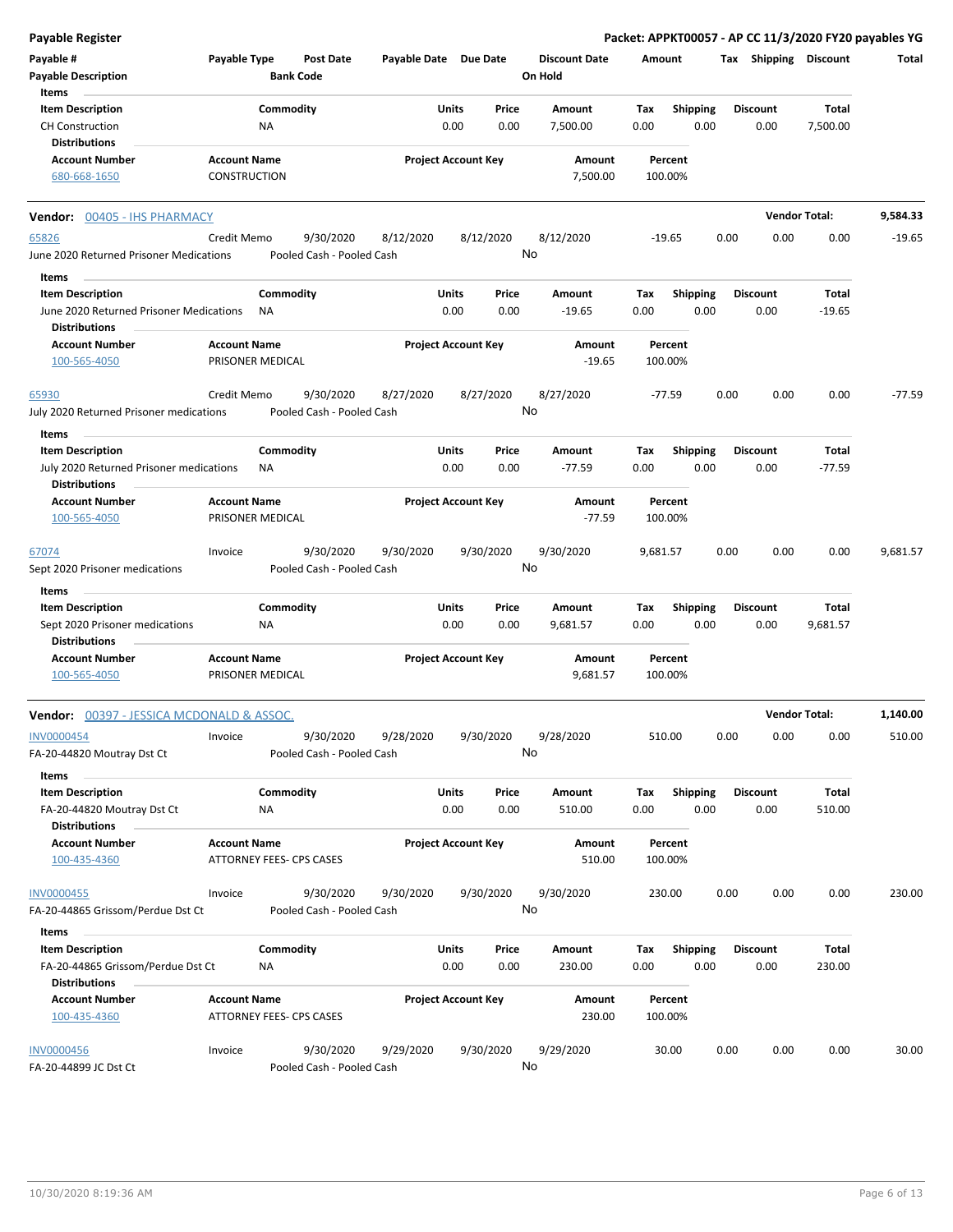| <b>Payable Register</b>                          |                          |                                        |                            |       |           |                      |          |                 |      |                       | Packet: APPKT00057 - AP CC 11/3/2020 FY20 payables YG |          |
|--------------------------------------------------|--------------------------|----------------------------------------|----------------------------|-------|-----------|----------------------|----------|-----------------|------|-----------------------|-------------------------------------------------------|----------|
| Payable #                                        | Payable Type             | <b>Post Date</b>                       | Payable Date Due Date      |       |           | <b>Discount Date</b> | Amount   |                 |      | Tax Shipping Discount |                                                       | Total    |
| <b>Payable Description</b>                       |                          | <b>Bank Code</b>                       |                            |       |           | On Hold              |          |                 |      |                       |                                                       |          |
| Items                                            |                          |                                        |                            |       |           |                      |          |                 |      |                       |                                                       |          |
| <b>Item Description</b>                          | Commodity                |                                        |                            | Units | Price     | Amount               | Tax      | <b>Shipping</b> |      | <b>Discount</b>       | Total                                                 |          |
| <b>CH Construction</b>                           | NA                       |                                        |                            | 0.00  | 0.00      | 7,500.00             | 0.00     | 0.00            |      | 0.00                  | 7,500.00                                              |          |
| <b>Distributions</b>                             |                          |                                        |                            |       |           |                      |          |                 |      |                       |                                                       |          |
| <b>Account Number</b>                            | <b>Account Name</b>      |                                        | <b>Project Account Key</b> |       |           | Amount               |          | Percent         |      |                       |                                                       |          |
| 680-668-1650                                     | CONSTRUCTION             |                                        |                            |       |           | 7,500.00             |          | 100.00%         |      |                       |                                                       |          |
|                                                  |                          |                                        |                            |       |           |                      |          |                 |      |                       |                                                       |          |
| Vendor: 00405 - IHS PHARMACY                     |                          |                                        |                            |       |           |                      |          |                 |      |                       | <b>Vendor Total:</b>                                  | 9,584.33 |
| 65826                                            | Credit Memo              | 9/30/2020                              | 8/12/2020                  |       | 8/12/2020 | 8/12/2020            |          | $-19.65$        | 0.00 | 0.00                  | 0.00                                                  | $-19.65$ |
| June 2020 Returned Prisoner Medications          |                          | Pooled Cash - Pooled Cash              |                            |       |           | No                   |          |                 |      |                       |                                                       |          |
| Items                                            |                          |                                        |                            |       |           |                      |          |                 |      |                       |                                                       |          |
| <b>Item Description</b>                          | Commodity                |                                        |                            | Units | Price     | Amount               | Tax      | <b>Shipping</b> |      | <b>Discount</b>       | Total                                                 |          |
| June 2020 Returned Prisoner Medications          | <b>NA</b>                |                                        |                            | 0.00  | 0.00      | $-19.65$             | 0.00     | 0.00            |      | 0.00                  | $-19.65$                                              |          |
| <b>Distributions</b>                             |                          |                                        |                            |       |           |                      |          |                 |      |                       |                                                       |          |
| <b>Account Number</b>                            | <b>Account Name</b>      |                                        | <b>Project Account Key</b> |       |           | Amount               |          | Percent         |      |                       |                                                       |          |
| 100-565-4050                                     | PRISONER MEDICAL         |                                        |                            |       |           | $-19.65$             |          | 100.00%         |      |                       |                                                       |          |
|                                                  |                          |                                        |                            |       |           |                      |          |                 |      |                       |                                                       |          |
| 65930                                            | Credit Memo              | 9/30/2020<br>Pooled Cash - Pooled Cash | 8/27/2020                  |       | 8/27/2020 | 8/27/2020<br>No      |          | $-77.59$        | 0.00 | 0.00                  | 0.00                                                  | $-77.59$ |
| July 2020 Returned Prisoner medications          |                          |                                        |                            |       |           |                      |          |                 |      |                       |                                                       |          |
| Items                                            |                          |                                        |                            |       |           |                      |          |                 |      |                       |                                                       |          |
| <b>Item Description</b>                          | Commodity                |                                        |                            | Units | Price     | Amount               | Tax      | <b>Shipping</b> |      | <b>Discount</b>       | Total                                                 |          |
| July 2020 Returned Prisoner medications          | ΝA                       |                                        |                            | 0.00  | 0.00      | $-77.59$             | 0.00     | 0.00            |      | 0.00                  | $-77.59$                                              |          |
| <b>Distributions</b>                             |                          |                                        |                            |       |           |                      |          |                 |      |                       |                                                       |          |
| <b>Account Number</b>                            | <b>Account Name</b>      |                                        | <b>Project Account Key</b> |       |           | Amount               |          | Percent         |      |                       |                                                       |          |
| 100-565-4050                                     | PRISONER MEDICAL         |                                        |                            |       |           | $-77.59$             |          | 100.00%         |      |                       |                                                       |          |
| 67074                                            | Invoice                  | 9/30/2020                              | 9/30/2020                  |       | 9/30/2020 | 9/30/2020            | 9,681.57 |                 | 0.00 | 0.00                  | 0.00                                                  | 9,681.57 |
| Sept 2020 Prisoner medications                   |                          | Pooled Cash - Pooled Cash              |                            |       |           | No                   |          |                 |      |                       |                                                       |          |
|                                                  |                          |                                        |                            |       |           |                      |          |                 |      |                       |                                                       |          |
| Items                                            |                          |                                        |                            |       |           |                      |          |                 |      |                       |                                                       |          |
| <b>Item Description</b>                          | Commodity                |                                        |                            | Units | Price     | Amount               | Tax      | Shipping        |      | <b>Discount</b>       | Total                                                 |          |
| Sept 2020 Prisoner medications                   | NA                       |                                        |                            | 0.00  | 0.00      | 9,681.57             | 0.00     | 0.00            |      | 0.00                  | 9,681.57                                              |          |
| <b>Distributions</b>                             |                          |                                        |                            |       |           |                      |          |                 |      |                       |                                                       |          |
| <b>Account Number</b>                            | <b>Account Name</b>      |                                        | <b>Project Account Key</b> |       |           | Amount               |          | Percent         |      |                       |                                                       |          |
| 100-565-4050                                     | PRISONER MEDICAL         |                                        |                            |       |           | 9,681.57             |          | 100.00%         |      |                       |                                                       |          |
| <b>Vendor:</b> 00397 - JESSICA MCDONALD & ASSOC. |                          |                                        |                            |       |           |                      |          |                 |      |                       | <b>Vendor Total:</b>                                  | 1,140.00 |
|                                                  |                          |                                        |                            |       |           |                      |          |                 | 0.00 |                       |                                                       |          |
| <b>INV0000454</b><br>FA-20-44820 Moutray Dst Ct  | Invoice                  | 9/30/2020<br>Pooled Cash - Pooled Cash | 9/28/2020                  |       | 9/30/2020 | 9/28/2020<br>No      |          | 510.00          |      | 0.00                  | 0.00                                                  | 510.00   |
|                                                  |                          |                                        |                            |       |           |                      |          |                 |      |                       |                                                       |          |
| Items                                            |                          |                                        |                            |       |           |                      |          |                 |      |                       |                                                       |          |
| <b>Item Description</b>                          | Commodity                |                                        |                            | Units | Price     | Amount               | Tax      | <b>Shipping</b> |      | <b>Discount</b>       | Total                                                 |          |
| FA-20-44820 Moutray Dst Ct                       | ΝA                       |                                        |                            | 0.00  | 0.00      | 510.00               | 0.00     | 0.00            |      | 0.00                  | 510.00                                                |          |
| <b>Distributions</b>                             |                          |                                        |                            |       |           |                      |          |                 |      |                       |                                                       |          |
| <b>Account Number</b>                            | <b>Account Name</b>      |                                        | <b>Project Account Key</b> |       |           | Amount               |          | Percent         |      |                       |                                                       |          |
| 100-435-4360                                     | ATTORNEY FEES- CPS CASES |                                        |                            |       |           | 510.00               |          | 100.00%         |      |                       |                                                       |          |
| <b>INV0000455</b>                                | Invoice                  | 9/30/2020                              | 9/30/2020                  |       | 9/30/2020 | 9/30/2020            |          | 230.00          | 0.00 | 0.00                  | 0.00                                                  | 230.00   |
| FA-20-44865 Grissom/Perdue Dst Ct                |                          | Pooled Cash - Pooled Cash              |                            |       |           | No                   |          |                 |      |                       |                                                       |          |
|                                                  |                          |                                        |                            |       |           |                      |          |                 |      |                       |                                                       |          |
| Items                                            |                          |                                        |                            |       |           |                      |          |                 |      |                       |                                                       |          |
| <b>Item Description</b>                          | Commodity                |                                        |                            | Units | Price     | Amount               | Tax      | <b>Shipping</b> |      | <b>Discount</b>       | Total                                                 |          |
| FA-20-44865 Grissom/Perdue Dst Ct                | NA                       |                                        |                            | 0.00  | 0.00      | 230.00               | 0.00     | 0.00            |      | 0.00                  | 230.00                                                |          |
| <b>Distributions</b>                             |                          |                                        |                            |       |           |                      |          |                 |      |                       |                                                       |          |
| <b>Account Number</b>                            | <b>Account Name</b>      |                                        | <b>Project Account Key</b> |       |           | Amount               |          | Percent         |      |                       |                                                       |          |
| 100-435-4360                                     | ATTORNEY FEES- CPS CASES |                                        |                            |       |           | 230.00               |          | 100.00%         |      |                       |                                                       |          |
| <b>INV0000456</b>                                | Invoice                  | 9/30/2020                              | 9/29/2020                  |       | 9/30/2020 | 9/29/2020            |          | 30.00           | 0.00 | 0.00                  | 0.00                                                  | 30.00    |
| FA-20-44899 JC Dst Ct                            |                          | Pooled Cash - Pooled Cash              |                            |       |           | No                   |          |                 |      |                       |                                                       |          |
|                                                  |                          |                                        |                            |       |           |                      |          |                 |      |                       |                                                       |          |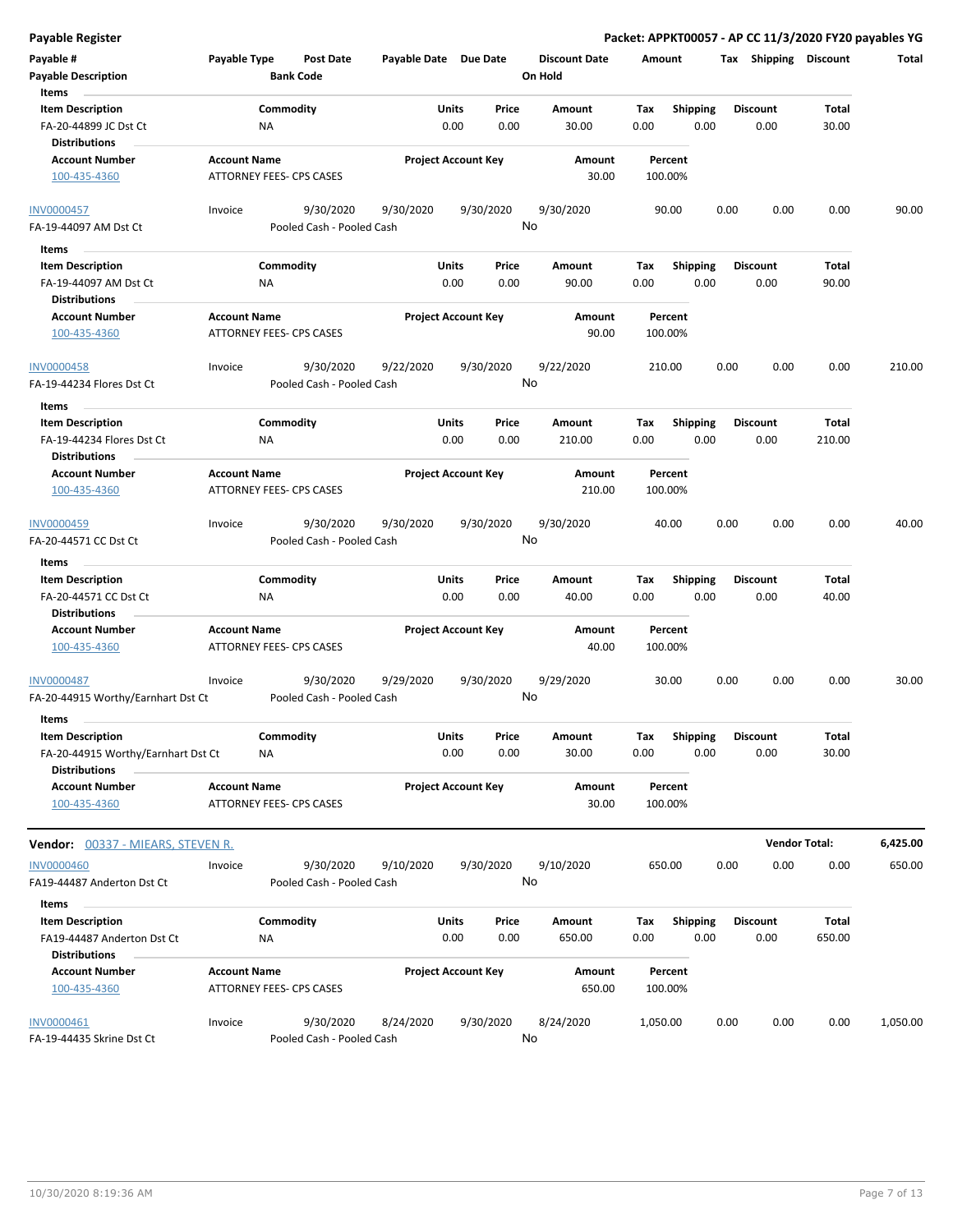**Payable Register Packet: APPKT00057 - AP CC 11/3/2020 FY20 payables YG**

| Payable #                                       | Payable Type                                    | <b>Post Date</b>                       | Payable Date Due Date |                            | <b>Discount Date</b> | Amount             |                 | Tax Shipping    | <b>Discount</b>      | Total    |
|-------------------------------------------------|-------------------------------------------------|----------------------------------------|-----------------------|----------------------------|----------------------|--------------------|-----------------|-----------------|----------------------|----------|
| <b>Payable Description</b><br>Items             |                                                 | <b>Bank Code</b>                       |                       |                            | On Hold              |                    |                 |                 |                      |          |
| <b>Item Description</b>                         |                                                 | Commodity                              |                       | Units<br>Price             | Amount               | Tax                | <b>Shipping</b> | <b>Discount</b> | Total                |          |
| FA-20-44899 JC Dst Ct<br><b>Distributions</b>   | NA                                              |                                        |                       | 0.00<br>0.00               | 30.00                | 0.00               | 0.00            | 0.00            | 30.00                |          |
| <b>Account Number</b>                           | <b>Account Name</b>                             |                                        |                       | <b>Project Account Key</b> | Amount               | Percent            |                 |                 |                      |          |
| 100-435-4360                                    | ATTORNEY FEES- CPS CASES                        |                                        |                       |                            | 30.00                | 100.00%            |                 |                 |                      |          |
| <b>INV0000457</b>                               | Invoice                                         | 9/30/2020                              | 9/30/2020             | 9/30/2020                  | 9/30/2020            | 90.00              |                 | 0.00<br>0.00    | 0.00                 | 90.00    |
| FA-19-44097 AM Dst Ct                           |                                                 | Pooled Cash - Pooled Cash              |                       |                            | No                   |                    |                 |                 |                      |          |
| Items                                           |                                                 |                                        |                       |                            |                      |                    |                 |                 |                      |          |
| <b>Item Description</b>                         |                                                 | Commodity                              |                       | Units<br>Price             | Amount               | Tax                | <b>Shipping</b> | <b>Discount</b> | Total                |          |
| FA-19-44097 AM Dst Ct                           | ΝA                                              |                                        |                       | 0.00<br>0.00               | 90.00                | 0.00               | 0.00            | 0.00            | 90.00                |          |
| <b>Distributions</b>                            |                                                 |                                        |                       |                            |                      |                    |                 |                 |                      |          |
| <b>Account Number</b>                           | <b>Account Name</b>                             |                                        |                       | <b>Project Account Key</b> | Amount               | Percent            |                 |                 |                      |          |
| 100-435-4360                                    | ATTORNEY FEES- CPS CASES                        |                                        |                       |                            | 90.00                | 100.00%            |                 |                 |                      |          |
| <b>INV0000458</b>                               | Invoice                                         | 9/30/2020                              | 9/22/2020             | 9/30/2020                  | 9/22/2020            | 210.00             |                 | 0.00<br>0.00    | 0.00                 | 210.00   |
| FA-19-44234 Flores Dst Ct                       |                                                 | Pooled Cash - Pooled Cash              |                       |                            | No                   |                    |                 |                 |                      |          |
| Items<br><b>Item Description</b>                |                                                 | Commodity                              |                       | Units<br>Price             | Amount               | Tax                | Shipping        | <b>Discount</b> | Total                |          |
| FA-19-44234 Flores Dst Ct                       | <b>NA</b>                                       |                                        |                       | 0.00<br>0.00               | 210.00               | 0.00               | 0.00            | 0.00            | 210.00               |          |
| <b>Distributions</b>                            |                                                 |                                        |                       |                            |                      |                    |                 |                 |                      |          |
| <b>Account Number</b>                           | <b>Account Name</b>                             |                                        |                       | <b>Project Account Key</b> | Amount               | Percent            |                 |                 |                      |          |
| 100-435-4360                                    | <b>ATTORNEY FEES- CPS CASES</b>                 |                                        |                       |                            | 210.00               | 100.00%            |                 |                 |                      |          |
| INV0000459                                      | Invoice                                         | 9/30/2020                              | 9/30/2020             | 9/30/2020                  | 9/30/2020            | 40.00              |                 | 0.00<br>0.00    | 0.00                 | 40.00    |
| FA-20-44571 CC Dst Ct                           |                                                 | Pooled Cash - Pooled Cash              |                       |                            | No                   |                    |                 |                 |                      |          |
| Items                                           |                                                 |                                        |                       |                            |                      |                    |                 |                 |                      |          |
| <b>Item Description</b>                         |                                                 | Commodity                              |                       | Units<br>Price             | Amount               | Tax                | <b>Shipping</b> | <b>Discount</b> | Total                |          |
| FA-20-44571 CC Dst Ct                           | ΝA                                              |                                        |                       | 0.00<br>0.00               | 40.00                | 0.00               | 0.00            | 0.00            | 40.00                |          |
| <b>Distributions</b>                            |                                                 |                                        |                       |                            |                      |                    |                 |                 |                      |          |
| <b>Account Number</b><br>100-435-4360           | <b>Account Name</b><br>ATTORNEY FEES- CPS CASES |                                        |                       | <b>Project Account Key</b> | Amount<br>40.00      | Percent<br>100.00% |                 |                 |                      |          |
| INV0000487                                      | Invoice                                         | 9/30/2020                              | 9/29/2020             | 9/30/2020                  | 9/29/2020            | 30.00              |                 | 0.00<br>0.00    | 0.00                 | 30.00    |
| FA-20-44915 Worthy/Earnhart Dst Ct              |                                                 | Pooled Cash - Pooled Cash              |                       |                            | No                   |                    |                 |                 |                      |          |
| Items                                           |                                                 |                                        |                       |                            |                      |                    |                 |                 |                      |          |
| <b>Item Description</b>                         |                                                 | Commodity                              |                       | Units<br>Price             | Amount               | Tax                | Shipping        | <b>Discount</b> | Total                |          |
| FA-20-44915 Worthy/Earnhart Dst Ct              | ΝA                                              |                                        |                       | 0.00<br>0.00               | 30.00                | 0.00               | 0.00            | 0.00            | 30.00                |          |
| <b>Distributions</b><br><b>Account Number</b>   | <b>Account Name</b>                             |                                        |                       | <b>Project Account Key</b> | Amount               | Percent            |                 |                 |                      |          |
| 100-435-4360                                    | ATTORNEY FEES- CPS CASES                        |                                        |                       |                            | 30.00                | 100.00%            |                 |                 |                      |          |
|                                                 |                                                 |                                        |                       |                            |                      |                    |                 |                 |                      |          |
| Vendor: 00337 - MIEARS, STEVEN R.               |                                                 |                                        |                       |                            |                      |                    |                 |                 | <b>Vendor Total:</b> | 6,425.00 |
| <b>INV0000460</b><br>FA19-44487 Anderton Dst Ct | Invoice                                         | 9/30/2020<br>Pooled Cash - Pooled Cash | 9/10/2020             | 9/30/2020                  | 9/10/2020<br>No      | 650.00             |                 | 0.00<br>0.00    | 0.00                 | 650.00   |
| Items                                           |                                                 |                                        |                       |                            |                      |                    |                 |                 |                      |          |
| <b>Item Description</b>                         |                                                 | Commodity                              |                       | Units<br>Price             | Amount               | Tax                | Shipping        | <b>Discount</b> | Total                |          |
| FA19-44487 Anderton Dst Ct                      | ΝA                                              |                                        |                       | 0.00<br>0.00               | 650.00               | 0.00               | 0.00            | 0.00            | 650.00               |          |
| <b>Distributions</b>                            |                                                 |                                        |                       |                            |                      |                    |                 |                 |                      |          |
| <b>Account Number</b>                           | <b>Account Name</b>                             |                                        |                       | <b>Project Account Key</b> | Amount               | Percent            |                 |                 |                      |          |
| 100-435-4360                                    | ATTORNEY FEES- CPS CASES                        |                                        |                       |                            | 650.00               | 100.00%            |                 |                 |                      |          |
| INV0000461                                      | Invoice                                         | 9/30/2020                              | 8/24/2020             | 9/30/2020                  | 8/24/2020            | 1,050.00           |                 | 0.00<br>0.00    | 0.00                 | 1,050.00 |
| FA-19-44435 Skrine Dst Ct                       |                                                 | Pooled Cash - Pooled Cash              |                       |                            | No                   |                    |                 |                 |                      |          |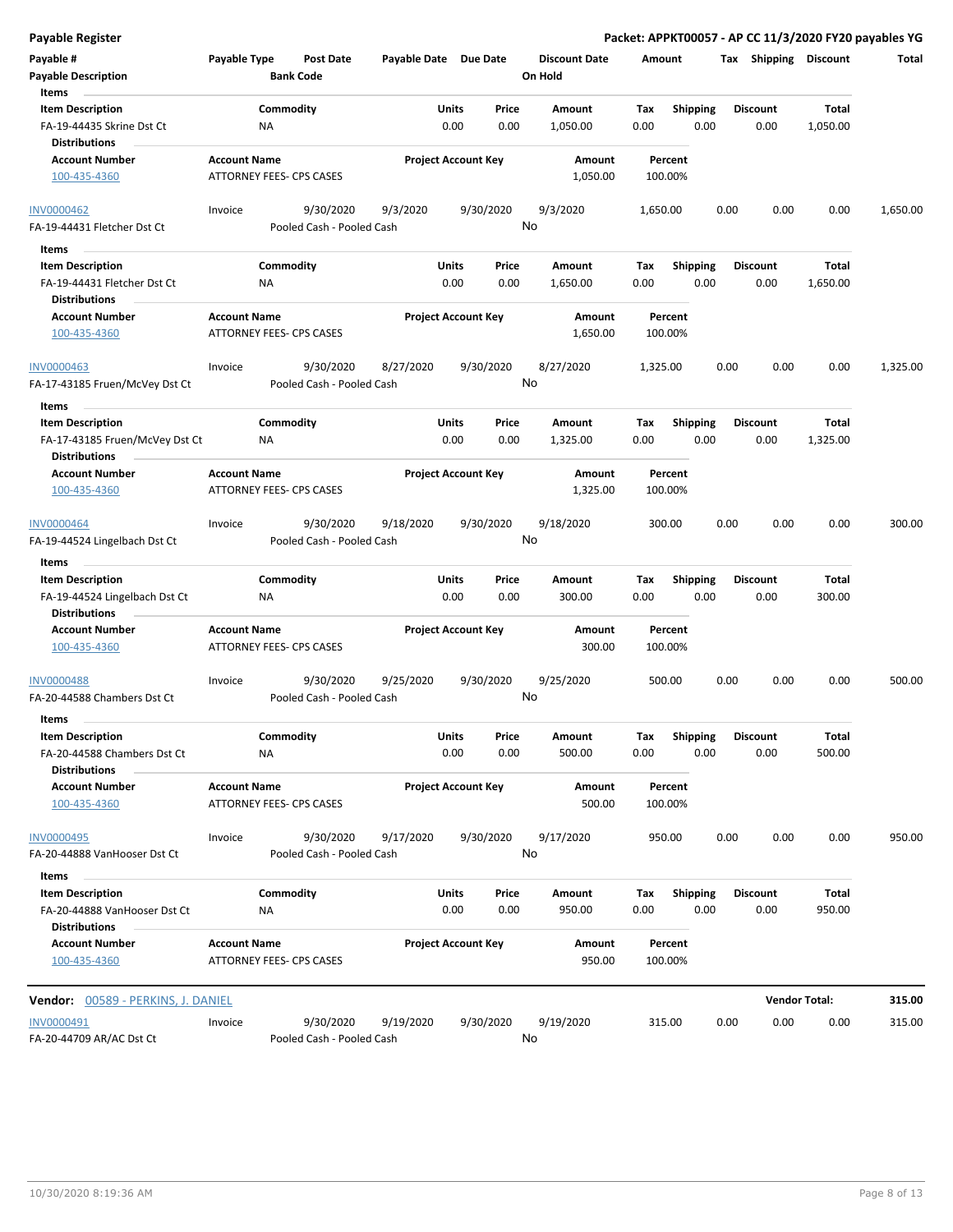| <b>Total</b> |                          | Tax Shipping Discount   |      |                         | Amount             | <b>Discount Date</b>      |               |                            | Payable Date Due Date | <b>Post Date</b>                       | Payable Type                                           | Payable #                                                                         |
|--------------|--------------------------|-------------------------|------|-------------------------|--------------------|---------------------------|---------------|----------------------------|-----------------------|----------------------------------------|--------------------------------------------------------|-----------------------------------------------------------------------------------|
|              |                          |                         |      |                         |                    | On Hold                   |               |                            |                       | <b>Bank Code</b>                       |                                                        | <b>Payable Description</b><br><b>Items</b>                                        |
|              | Total                    | <b>Discount</b>         |      | Shipping                | Tax                | Amount                    | Price         | Units                      |                       |                                        | Commodity                                              | <b>Item Description</b>                                                           |
|              | 1,050.00                 | 0.00                    |      | 0.00                    | 0.00               | 1,050.00                  | 0.00          | 0.00                       |                       |                                        | <b>NA</b>                                              | FA-19-44435 Skrine Dst Ct<br><b>Distributions</b>                                 |
|              |                          |                         |      |                         | Percent<br>100.00% | Amount<br>1,050.00        |               | <b>Project Account Key</b> |                       |                                        | <b>Account Name</b><br><b>ATTORNEY FEES- CPS CASES</b> | <b>Account Number</b><br>100-435-4360                                             |
| 1,650.00     | 0.00                     | 0.00                    | 0.00 |                         | 1,650.00           | 9/3/2020                  | 9/30/2020     |                            | 9/3/2020              | 9/30/2020                              | Invoice                                                | <b>INV0000462</b>                                                                 |
|              |                          |                         |      |                         |                    | No                        |               |                            |                       | Pooled Cash - Pooled Cash              |                                                        | FA-19-44431 Fletcher Dst Ct                                                       |
|              | <b>Total</b><br>1,650.00 | <b>Discount</b><br>0.00 |      | <b>Shipping</b><br>0.00 | Tax<br>0.00        | Amount<br>1,650.00        | Price<br>0.00 | <b>Units</b><br>0.00       |                       |                                        | Commodity<br><b>NA</b>                                 | Items<br><b>Item Description</b><br>FA-19-44431 Fletcher Dst Ct                   |
|              |                          |                         |      |                         | Percent<br>100.00% | <b>Amount</b><br>1,650.00 |               | <b>Project Account Key</b> |                       |                                        | <b>Account Name</b><br>ATTORNEY FEES- CPS CASES        | <b>Distributions</b><br><b>Account Number</b><br>100-435-4360                     |
| 1,325.00     | 0.00                     | 0.00                    | 0.00 |                         | 1,325.00           | 8/27/2020<br>No           | 9/30/2020     |                            | 8/27/2020             | 9/30/2020<br>Pooled Cash - Pooled Cash | Invoice                                                | <b>INV0000463</b><br>FA-17-43185 Fruen/McVey Dst Ct                               |
|              |                          |                         |      |                         |                    |                           |               |                            |                       |                                        |                                                        | <b>Items</b>                                                                      |
|              | Total<br>1,325.00        | <b>Discount</b><br>0.00 |      | <b>Shipping</b><br>0.00 | Tax<br>0.00        | Amount<br>1,325.00        | Price<br>0.00 | Units<br>0.00              |                       |                                        | Commodity<br><b>NA</b>                                 | <b>Item Description</b><br>FA-17-43185 Fruen/McVey Dst Ct<br><b>Distributions</b> |
|              |                          |                         |      |                         | Percent<br>100.00% | Amount<br>1,325.00        |               | <b>Project Account Key</b> |                       |                                        | <b>Account Name</b><br>ATTORNEY FEES- CPS CASES        | <b>Account Number</b><br>100-435-4360                                             |
| 300.00       | 0.00                     | 0.00                    | 0.00 |                         | 300.00             | 9/18/2020<br>No           | 9/30/2020     |                            | 9/18/2020             | 9/30/2020<br>Pooled Cash - Pooled Cash | Invoice                                                | <b>INV0000464</b><br>FA-19-44524 Lingelbach Dst Ct                                |
|              |                          |                         |      |                         |                    |                           |               |                            |                       |                                        |                                                        | Items                                                                             |
|              | <b>Total</b>             | <b>Discount</b>         |      | <b>Shipping</b>         | Tax                | <b>Amount</b>             | Price         | <b>Units</b>               |                       |                                        | Commodity                                              | <b>Item Description</b>                                                           |
|              | 300.00                   | 0.00                    |      | 0.00                    | 0.00               | 300.00                    | 0.00          | 0.00                       |                       |                                        | <b>NA</b>                                              | FA-19-44524 Lingelbach Dst Ct<br><b>Distributions</b>                             |
|              |                          |                         |      |                         | Percent            | <b>Amount</b>             |               | <b>Project Account Key</b> |                       |                                        | <b>Account Name</b>                                    | <b>Account Number</b>                                                             |
|              |                          |                         |      |                         | 100.00%            | 300.00                    |               |                            |                       |                                        | ATTORNEY FEES- CPS CASES                               | 100-435-4360                                                                      |
| 500.00       | 0.00                     | 0.00                    | 0.00 |                         | 500.00             | 9/25/2020<br>No           | 9/30/2020     |                            | 9/25/2020             | 9/30/2020<br>Pooled Cash - Pooled Cash | Invoice                                                | <b>INV0000488</b><br>FA-20-44588 Chambers Dst Ct                                  |

| <b>Item Description</b>      |                     | Commodity                 |           | Price<br><b>Units</b>      | Amount    | Тах    | <b>Shipping</b> | <b>Discount</b> | <b>Total</b> |        |
|------------------------------|---------------------|---------------------------|-----------|----------------------------|-----------|--------|-----------------|-----------------|--------------|--------|
| FA-20-44588 Chambers Dst Ct  | <b>NA</b>           |                           |           | 0.00<br>0.00               | 500.00    | 0.00   | 0.00            | 0.00            | 500.00       |        |
| <b>Distributions</b>         |                     |                           |           |                            |           |        |                 |                 |              |        |
| <b>Account Number</b>        | <b>Account Name</b> |                           |           | <b>Project Account Key</b> | Amount    |        | Percent         |                 |              |        |
| 100-435-4360                 |                     | ATTORNEY FEES- CPS CASES  |           |                            | 500.00    |        | 100.00%         |                 |              |        |
| <b>INV0000495</b>            | Invoice             | 9/30/2020                 | 9/17/2020 | 9/30/2020                  | 9/17/2020 | 950.00 |                 | 0.00<br>0.00    | 0.00         | 950.00 |
| FA-20-44888 VanHooser Dst Ct |                     | Pooled Cash - Pooled Cash |           |                            | No        |        |                 |                 |              |        |
| <b>Items</b>                 |                     |                           |           |                            |           |        |                 |                 |              |        |
| <b>Item Description</b>      |                     | Commoditv                 |           | Price<br>Units             | Amount    | Tax    | <b>Shipping</b> | <b>Discount</b> | Total        |        |

| FA-20-44888 VanHooser Dst Ct<br><b>Distributions</b> |                     | <b>NA</b>                 |           | 0.00                       | 0.00 | 950.00           | 0.00               | 0.00 | 0.00                 | 950.00 |        |
|------------------------------------------------------|---------------------|---------------------------|-----------|----------------------------|------|------------------|--------------------|------|----------------------|--------|--------|
| <b>Account Number</b><br>100-435-4360                | <b>Account Name</b> | ATTORNEY FEES- CPS CASES  |           | <b>Project Account Key</b> |      | Amount<br>950.00 | Percent<br>100.00% |      |                      |        |        |
| 00589 - PERKINS, J. DANIEL<br>Vendor:                |                     |                           |           |                            |      |                  |                    |      | <b>Vendor Total:</b> |        | 315.00 |
| INV0000491                                           | Invoice             | 9/30/2020                 | 9/19/2020 | 9/30/2020                  |      | 9/19/2020        | 315.00             | 0.00 | 0.00                 | 0.00   | 315.00 |
| FA-20-44709 AR/AC Dst Ct                             |                     | Pooled Cash - Pooled Cash |           |                            | No   |                  |                    |      |                      |        |        |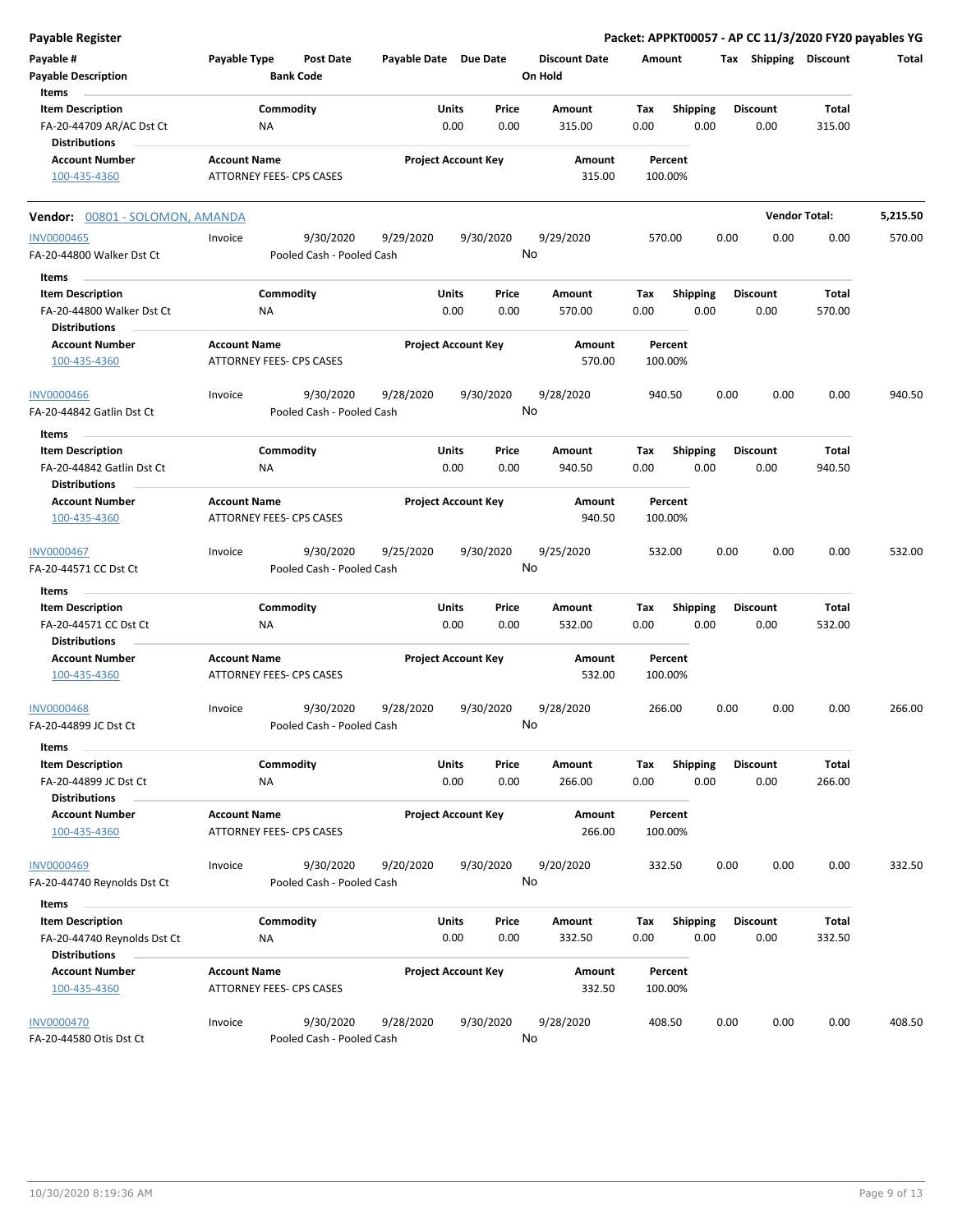| Payable Register                                                                      |                     |                                        |                       |                            |               |                                 |             |                         |      |                         | Packet: APPKT00057 - AP CC 11/3/2020 FY20 payables YG |          |
|---------------------------------------------------------------------------------------|---------------------|----------------------------------------|-----------------------|----------------------------|---------------|---------------------------------|-------------|-------------------------|------|-------------------------|-------------------------------------------------------|----------|
| Payable #<br><b>Payable Description</b>                                               | Payable Type        | <b>Post Date</b><br><b>Bank Code</b>   | Payable Date Due Date |                            |               | <b>Discount Date</b><br>On Hold | Amount      |                         |      | Tax Shipping Discount   |                                                       | Total    |
| Items<br><b>Item Description</b><br>FA-20-44709 AR/AC Dst Ct                          | ΝA                  | Commodity                              |                       | Units<br>0.00              | Price<br>0.00 | Amount<br>315.00                | Tax<br>0.00 | <b>Shipping</b><br>0.00 |      | <b>Discount</b><br>0.00 | Total<br>315.00                                       |          |
| <b>Distributions</b><br><b>Account Number</b><br>100-435-4360                         | <b>Account Name</b> | ATTORNEY FEES- CPS CASES               |                       | <b>Project Account Key</b> |               | Amount<br>315.00                | 100.00%     | Percent                 |      |                         |                                                       |          |
| Vendor: 00801 - SOLOMON, AMANDA                                                       |                     |                                        |                       |                            |               |                                 |             |                         |      |                         | <b>Vendor Total:</b>                                  | 5,215.50 |
| <b>INV0000465</b><br>FA-20-44800 Walker Dst Ct                                        | Invoice             | 9/30/2020<br>Pooled Cash - Pooled Cash | 9/29/2020             | 9/30/2020                  | No            | 9/29/2020                       | 570.00      |                         | 0.00 | 0.00                    | 0.00                                                  | 570.00   |
| Items                                                                                 |                     |                                        |                       |                            |               |                                 |             |                         |      |                         |                                                       |          |
| <b>Item Description</b><br>FA-20-44800 Walker Dst Ct<br><b>Distributions</b>          | ΝA                  | Commodity                              |                       | Units<br>0.00              | Price<br>0.00 | Amount<br>570.00                | Tax<br>0.00 | <b>Shipping</b><br>0.00 |      | <b>Discount</b><br>0.00 | Total<br>570.00                                       |          |
| <b>Account Number</b><br>100-435-4360                                                 | <b>Account Name</b> | <b>ATTORNEY FEES- CPS CASES</b>        |                       | <b>Project Account Key</b> |               | Amount<br>570.00                | 100.00%     | Percent                 |      |                         |                                                       |          |
| <b>INV0000466</b><br>FA-20-44842 Gatlin Dst Ct                                        | Invoice             | 9/30/2020<br>Pooled Cash - Pooled Cash | 9/28/2020             | 9/30/2020                  | No            | 9/28/2020                       | 940.50      |                         | 0.00 | 0.00                    | 0.00                                                  | 940.50   |
| Items<br><b>Item Description</b><br>FA-20-44842 Gatlin Dst Ct<br><b>Distributions</b> | ΝA                  | Commodity                              |                       | Units<br>0.00              | Price<br>0.00 | Amount<br>940.50                | Tax<br>0.00 | <b>Shipping</b><br>0.00 |      | <b>Discount</b><br>0.00 | Total<br>940.50                                       |          |
| <b>Account Number</b><br>100-435-4360                                                 | <b>Account Name</b> | ATTORNEY FEES- CPS CASES               |                       | <b>Project Account Key</b> |               | Amount<br>940.50                |             | Percent<br>100.00%      |      |                         |                                                       |          |
| INV0000467<br>FA-20-44571 CC Dst Ct                                                   | Invoice             | 9/30/2020<br>Pooled Cash - Pooled Cash | 9/25/2020             | 9/30/2020                  |               | 9/25/2020<br>No                 | 532.00      |                         | 0.00 | 0.00                    | 0.00                                                  | 532.00   |
| Items                                                                                 |                     | Commodity                              |                       | Units                      |               |                                 | Tax         |                         |      |                         | <b>Total</b>                                          |          |
| <b>Item Description</b><br>FA-20-44571 CC Dst Ct<br><b>Distributions</b>              | ΝA                  |                                        |                       | 0.00                       | Price<br>0.00 | Amount<br>532.00                | 0.00        | <b>Shipping</b><br>0.00 |      | <b>Discount</b><br>0.00 | 532.00                                                |          |
| <b>Account Number</b><br>100-435-4360                                                 | <b>Account Name</b> | ATTORNEY FEES- CPS CASES               |                       | <b>Project Account Key</b> |               | Amount<br>532.00                | 100.00%     | Percent                 |      |                         |                                                       |          |
| INV0000468<br>FA-20-44899 JC Dst Ct                                                   | Invoice             | 9/30/2020<br>Pooled Cash - Pooled Cash | 9/28/2020             | 9/30/2020                  | No            | 9/28/2020                       | 266.00      |                         | 0.00 | 0.00                    | 0.00                                                  | 266.00   |
| Items<br><b>Item Description</b><br>FA-20-44899 JC Dst Ct                             | ΝA                  | Commodity                              |                       | <b>Units</b><br>0.00       | Price<br>0.00 | Amount<br>266.00                | Tax<br>0.00 | <b>Shipping</b><br>0.00 |      | <b>Discount</b><br>0.00 | Total<br>266.00                                       |          |
| <b>Distributions</b><br><b>Account Number</b><br>100-435-4360                         | <b>Account Name</b> | ATTORNEY FEES- CPS CASES               |                       | <b>Project Account Key</b> |               | Amount<br>266.00                | 100.00%     | Percent                 |      |                         |                                                       |          |
| <b>INV0000469</b><br>FA-20-44740 Reynolds Dst Ct                                      | Invoice             | 9/30/2020<br>Pooled Cash - Pooled Cash | 9/20/2020             | 9/30/2020                  | No            | 9/20/2020                       | 332.50      |                         | 0.00 | 0.00                    | 0.00                                                  | 332.50   |
| Items                                                                                 |                     |                                        |                       |                            |               |                                 |             |                         |      |                         |                                                       |          |
| <b>Item Description</b><br>FA-20-44740 Reynolds Dst Ct<br><b>Distributions</b>        | ΝA                  | Commodity                              |                       | Units<br>0.00              | Price<br>0.00 | Amount<br>332.50                | Tax<br>0.00 | <b>Shipping</b><br>0.00 |      | <b>Discount</b><br>0.00 | Total<br>332.50                                       |          |
| <b>Account Number</b><br>100-435-4360                                                 | <b>Account Name</b> | ATTORNEY FEES- CPS CASES               |                       | <b>Project Account Key</b> |               | Amount<br>332.50                | 100.00%     | Percent                 |      |                         |                                                       |          |
| <b>INV0000470</b><br>FA-20-44580 Otis Dst Ct                                          | Invoice             | 9/30/2020<br>Pooled Cash - Pooled Cash | 9/28/2020             | 9/30/2020                  |               | 9/28/2020<br>No                 | 408.50      |                         | 0.00 | 0.00                    | 0.00                                                  | 408.50   |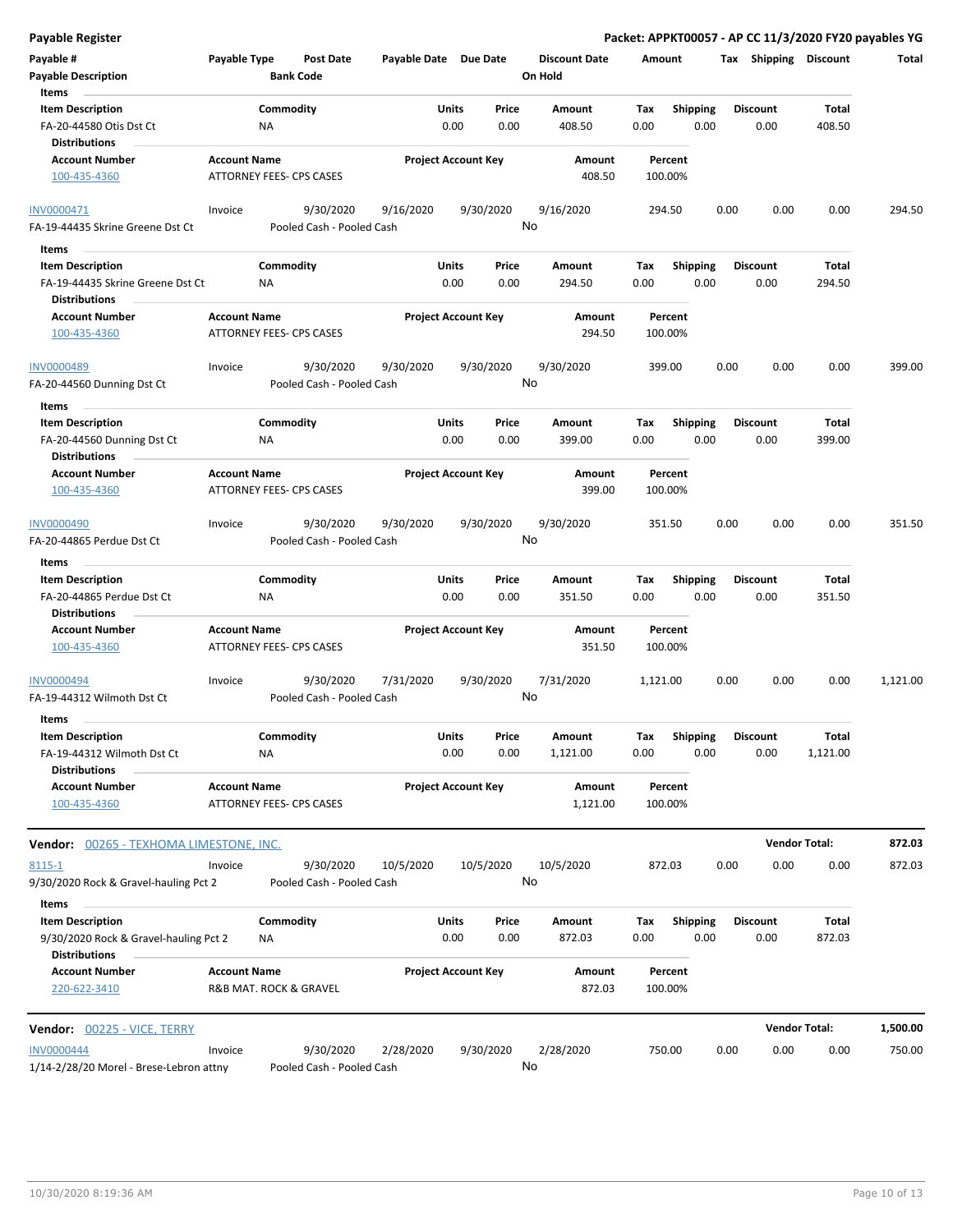| Payable Register                                                              |                     |                                 |                                        |                       |                            |                 |                                 |             |                         |      |                         | Packet: APPKT00057 - AP CC 11/3/2020 FY20 payables YG |          |
|-------------------------------------------------------------------------------|---------------------|---------------------------------|----------------------------------------|-----------------------|----------------------------|-----------------|---------------------------------|-------------|-------------------------|------|-------------------------|-------------------------------------------------------|----------|
| Payable #<br><b>Payable Description</b>                                       | Payable Type        | <b>Bank Code</b>                | <b>Post Date</b>                       | Payable Date Due Date |                            |                 | <b>Discount Date</b><br>On Hold | Amount      |                         |      | Tax Shipping Discount   |                                                       | Total    |
| Items                                                                         |                     |                                 |                                        |                       |                            |                 |                                 |             |                         |      |                         |                                                       |          |
| <b>Item Description</b><br>FA-20-44580 Otis Dst Ct                            |                     | Commodity<br>ΝA                 |                                        |                       | Units<br>0.00              | Price<br>0.00   | Amount<br>408.50                | Tax<br>0.00 | Shipping<br>0.00        |      | <b>Discount</b><br>0.00 | Total<br>408.50                                       |          |
| <b>Distributions</b>                                                          |                     |                                 |                                        |                       |                            |                 |                                 |             |                         |      |                         |                                                       |          |
| <b>Account Number</b><br>100-435-4360                                         | <b>Account Name</b> | ATTORNEY FEES- CPS CASES        |                                        |                       | <b>Project Account Key</b> |                 | Amount<br>408.50                |             | Percent<br>100.00%      |      |                         |                                                       |          |
| INV0000471<br>FA-19-44435 Skrine Greene Dst Ct                                | Invoice             |                                 | 9/30/2020<br>Pooled Cash - Pooled Cash | 9/16/2020             |                            | 9/30/2020<br>No | 9/16/2020                       |             | 294.50                  | 0.00 | 0.00                    | 0.00                                                  | 294.50   |
| Items                                                                         |                     |                                 |                                        |                       |                            |                 |                                 |             |                         |      |                         |                                                       |          |
| <b>Item Description</b>                                                       |                     | Commodity                       |                                        |                       | Units                      | Price           | Amount                          | Tax         | Shipping                |      | <b>Discount</b>         | Total                                                 |          |
| FA-19-44435 Skrine Greene Dst Ct<br><b>Distributions</b>                      |                     | ΝA                              |                                        |                       | 0.00                       | 0.00            | 294.50                          | 0.00        | 0.00                    |      | 0.00                    | 294.50                                                |          |
| <b>Account Number</b><br>100-435-4360                                         | <b>Account Name</b> | <b>ATTORNEY FEES- CPS CASES</b> |                                        |                       | <b>Project Account Key</b> |                 | Amount<br>294.50                |             | Percent<br>100.00%      |      |                         |                                                       |          |
| <b>INV0000489</b><br>FA-20-44560 Dunning Dst Ct                               | Invoice             |                                 | 9/30/2020<br>Pooled Cash - Pooled Cash | 9/30/2020             |                            | 9/30/2020<br>No | 9/30/2020                       |             | 399.00                  | 0.00 | 0.00                    | 0.00                                                  | 399.00   |
| Items                                                                         |                     |                                 |                                        |                       |                            |                 |                                 |             |                         |      |                         |                                                       |          |
| <b>Item Description</b><br>FA-20-44560 Dunning Dst Ct<br><b>Distributions</b> |                     | Commodity<br>ΝA                 |                                        |                       | Units<br>0.00              | Price<br>0.00   | Amount<br>399.00                | Tax<br>0.00 | <b>Shipping</b><br>0.00 |      | <b>Discount</b><br>0.00 | Total<br>399.00                                       |          |
| <b>Account Number</b>                                                         | <b>Account Name</b> |                                 |                                        |                       | <b>Project Account Key</b> |                 | Amount                          |             | Percent                 |      |                         |                                                       |          |
| 100-435-4360                                                                  |                     | ATTORNEY FEES- CPS CASES        |                                        |                       |                            |                 | 399.00                          |             | 100.00%                 |      |                         |                                                       |          |
| INV0000490<br>FA-20-44865 Perdue Dst Ct                                       | Invoice             |                                 | 9/30/2020<br>Pooled Cash - Pooled Cash | 9/30/2020             |                            | 9/30/2020<br>No | 9/30/2020                       |             | 351.50                  | 0.00 | 0.00                    | 0.00                                                  | 351.50   |
| Items                                                                         |                     |                                 |                                        |                       |                            |                 |                                 |             |                         |      |                         |                                                       |          |
| <b>Item Description</b><br>FA-20-44865 Perdue Dst Ct<br><b>Distributions</b>  |                     | Commodity<br><b>NA</b>          |                                        |                       | <b>Units</b><br>0.00       | Price<br>0.00   | Amount<br>351.50                | Tax<br>0.00 | <b>Shipping</b><br>0.00 |      | <b>Discount</b><br>0.00 | Total<br>351.50                                       |          |
| <b>Account Number</b><br>100-435-4360                                         | <b>Account Name</b> | ATTORNEY FEES- CPS CASES        |                                        |                       | <b>Project Account Key</b> |                 | Amount<br>351.50                |             | Percent<br>100.00%      |      |                         |                                                       |          |
| INV0000494<br>FA-19-44312 Wilmoth Dst Ct                                      | Invoice             |                                 | 9/30/2020<br>Pooled Cash - Pooled Cash | 7/31/2020             |                            | 9/30/2020<br>No | 7/31/2020                       | 1,121.00    |                         | 0.00 | 0.00                    | 0.00                                                  | 1,121.00 |
| Items                                                                         |                     |                                 |                                        |                       |                            |                 |                                 |             |                         |      |                         |                                                       |          |
| <b>Item Description</b><br>FA-19-44312 Wilmoth Dst Ct                         |                     | Commodity<br>ΝA                 |                                        |                       | Units<br>0.00              | Price<br>0.00   | Amount<br>1,121.00              | Tax<br>0.00 | Shipping<br>0.00        |      | <b>Discount</b><br>0.00 | Total<br>1,121.00                                     |          |
| <b>Distributions</b><br><b>Account Number</b>                                 | <b>Account Name</b> |                                 |                                        |                       | <b>Project Account Key</b> |                 | Amount                          |             | Percent                 |      |                         |                                                       |          |
| 100-435-4360                                                                  |                     | ATTORNEY FEES- CPS CASES        |                                        |                       |                            |                 | 1,121.00                        |             | 100.00%                 |      |                         |                                                       |          |
| Vendor:<br>00265 - TEXHOMA LIMESTONE, INC.                                    |                     |                                 |                                        |                       |                            |                 |                                 |             |                         |      | <b>Vendor Total:</b>    |                                                       | 872.03   |
| 8115-1                                                                        | Invoice             |                                 | 9/30/2020                              | 10/5/2020             |                            | 10/5/2020       | 10/5/2020                       |             | 872.03                  | 0.00 | 0.00                    | 0.00                                                  | 872.03   |
| 9/30/2020 Rock & Gravel-hauling Pct 2<br>Items                                |                     |                                 | Pooled Cash - Pooled Cash              |                       |                            | No              |                                 |             |                         |      |                         |                                                       |          |
| <b>Item Description</b>                                                       |                     | Commodity                       |                                        |                       | Units                      | Price           | Amount                          | Tax         | <b>Shipping</b>         |      | <b>Discount</b>         | <b>Total</b>                                          |          |
| 9/30/2020 Rock & Gravel-hauling Pct 2<br><b>Distributions</b>                 |                     | ΝA                              |                                        |                       | 0.00                       | 0.00            | 872.03                          | 0.00        | 0.00                    |      | 0.00                    | 872.03                                                |          |
| <b>Account Number</b><br>220-622-3410                                         | <b>Account Name</b> | R&B MAT. ROCK & GRAVEL          |                                        |                       | <b>Project Account Key</b> |                 | Amount<br>872.03                |             | Percent<br>100.00%      |      |                         |                                                       |          |
| Vendor: 00225 - VICE, TERRY                                                   |                     |                                 |                                        |                       |                            |                 |                                 |             |                         |      | <b>Vendor Total:</b>    |                                                       | 1,500.00 |
| <b>INV0000444</b><br>1/14-2/28/20 Morel - Brese-Lebron attny                  | Invoice             |                                 | 9/30/2020<br>Pooled Cash - Pooled Cash | 2/28/2020             |                            | 9/30/2020<br>No | 2/28/2020                       |             | 750.00                  | 0.00 | 0.00                    | 0.00                                                  | 750.00   |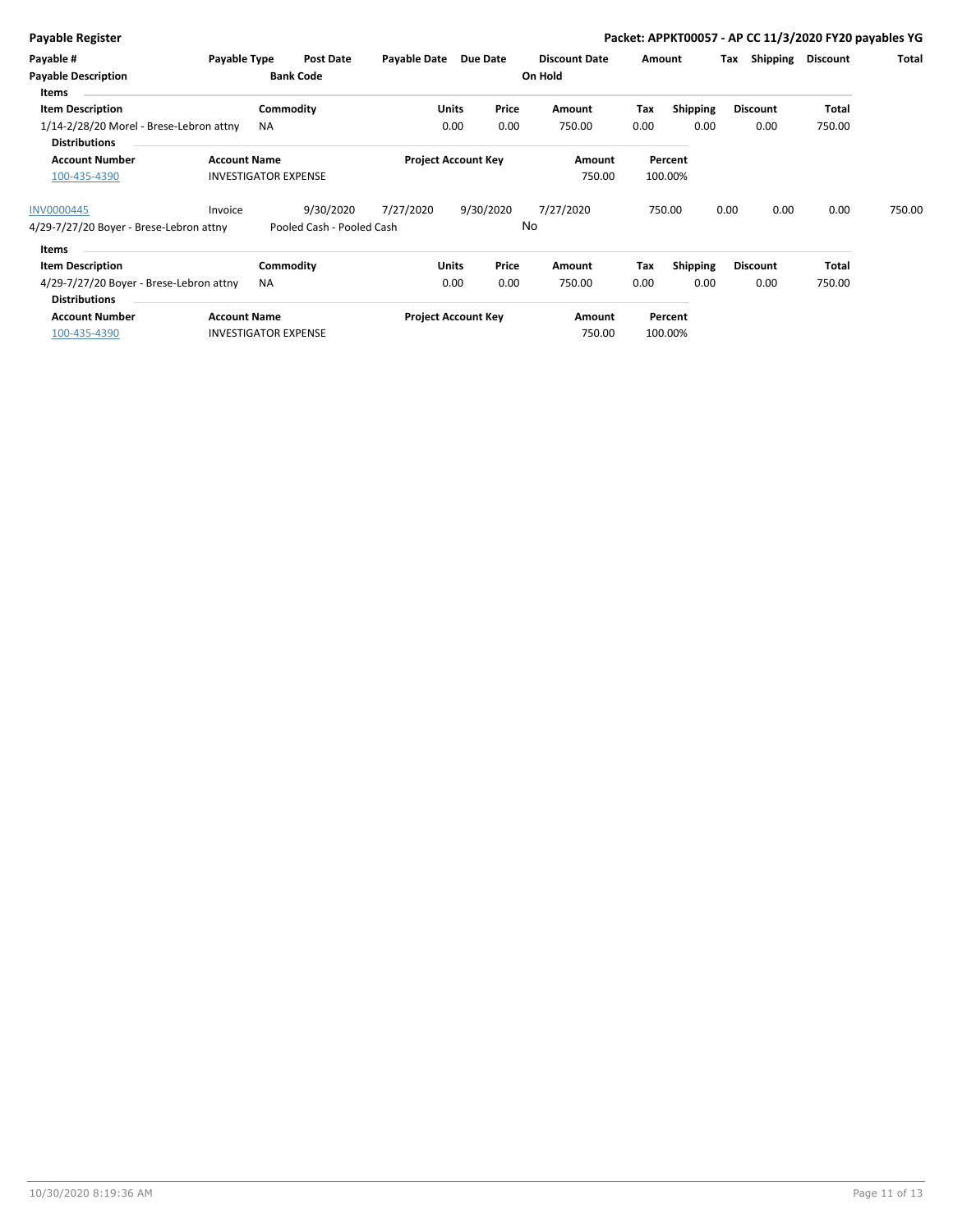|  | <b>Payable Register</b> |
|--|-------------------------|
|  |                         |

**Payable Register Packet: APPKT00057 - AP CC 11/3/2020 FY20 payables YG**

| Payable #<br><b>Payable Description</b>                         | Payable Type        | Post Date<br><b>Bank Code</b> | Payable Date | Due Date                   | <b>Discount Date</b><br>On Hold | Amount |                    | Shipping<br>Тах | Discount | Total  |
|-----------------------------------------------------------------|---------------------|-------------------------------|--------------|----------------------------|---------------------------------|--------|--------------------|-----------------|----------|--------|
| Items                                                           |                     |                               |              |                            |                                 |        |                    |                 |          |        |
| <b>Item Description</b>                                         |                     | Commodity                     |              | Price<br><b>Units</b>      | Amount                          | Tax    | <b>Shipping</b>    | <b>Discount</b> | Total    |        |
| 1/14-2/28/20 Morel - Brese-Lebron attny<br><b>Distributions</b> |                     | <b>NA</b>                     |              | 0.00<br>0.00               | 750.00                          | 0.00   | 0.00               | 0.00            | 750.00   |        |
| <b>Account Number</b><br>100-435-4390                           | <b>Account Name</b> | <b>INVESTIGATOR EXPENSE</b>   |              | <b>Project Account Key</b> | Amount<br>750.00                |        | Percent<br>100.00% |                 |          |        |
| INV0000445                                                      | Invoice             | 9/30/2020                     | 7/27/2020    | 9/30/2020                  | 7/27/2020                       |        | 750.00             | 0.00<br>0.00    | 0.00     | 750.00 |
| 4/29-7/27/20 Boyer - Brese-Lebron attny                         |                     | Pooled Cash - Pooled Cash     |              |                            | No                              |        |                    |                 |          |        |
| Items                                                           |                     |                               |              |                            |                                 |        |                    |                 |          |        |
| <b>Item Description</b>                                         |                     | Commodity                     |              | Price<br>Units             | Amount                          | Tax    | <b>Shipping</b>    | <b>Discount</b> | Total    |        |
| 4/29-7/27/20 Boyer - Brese-Lebron attny<br><b>Distributions</b> |                     | <b>NA</b>                     |              | 0.00<br>0.00               | 750.00                          | 0.00   | 0.00               | 0.00            | 750.00   |        |
| <b>Account Number</b>                                           | <b>Account Name</b> |                               |              | <b>Project Account Key</b> | Amount                          |        | Percent            |                 |          |        |
| 100-435-4390                                                    |                     | <b>INVESTIGATOR EXPENSE</b>   |              |                            | 750.00                          |        | 100.00%            |                 |          |        |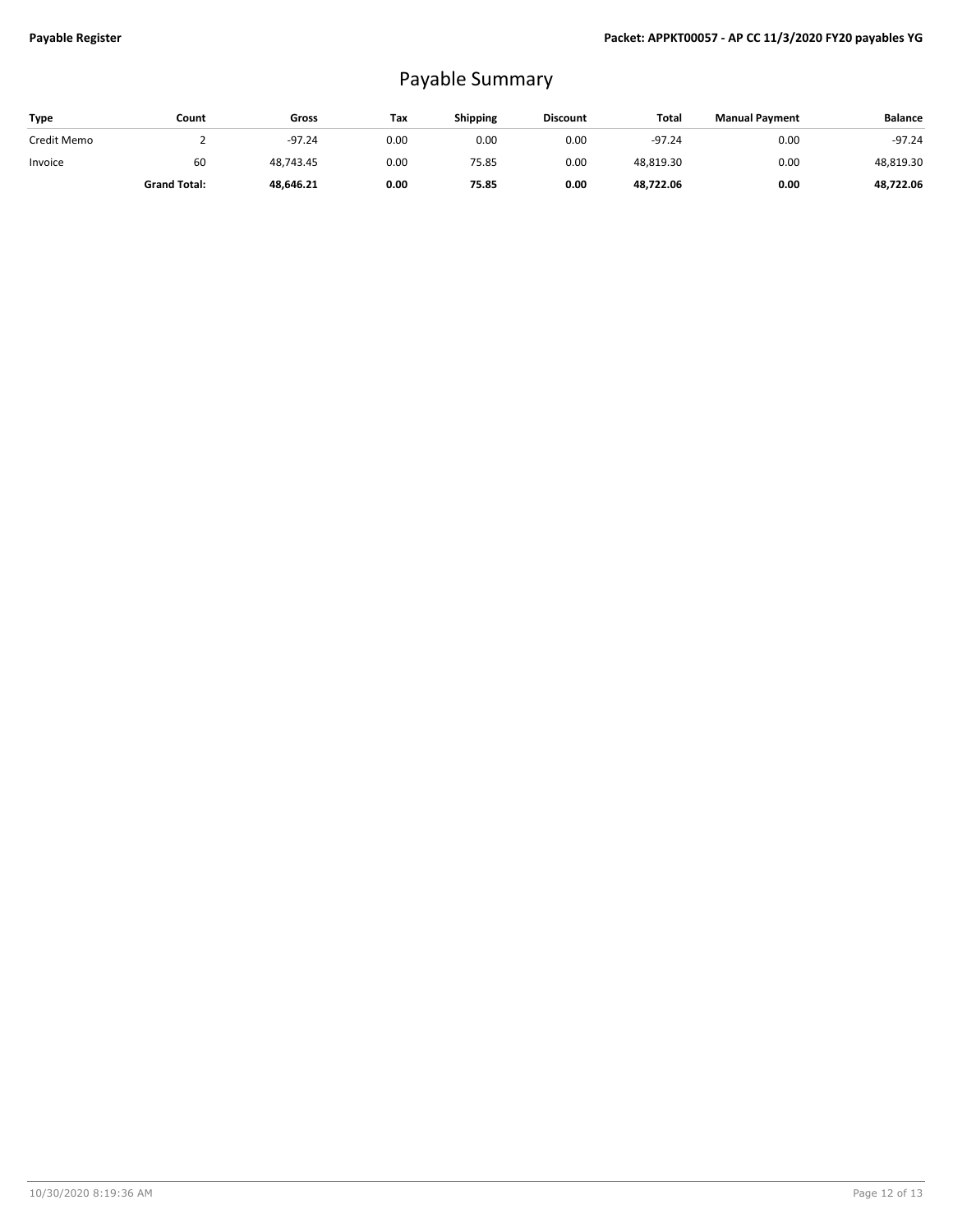## Payable Summary

| Type        | Count               | Gross     | Tax  | <b>Shipping</b> | <b>Discount</b> | Total     | <b>Manual Payment</b> | <b>Balance</b> |
|-------------|---------------------|-----------|------|-----------------|-----------------|-----------|-----------------------|----------------|
| Credit Memo |                     | $-97.24$  | 0.00 | 0.00            | 0.00            | $-97.24$  | 0.00                  | $-97.24$       |
| Invoice     | 60                  | 48.743.45 | 0.00 | 75.85           | 0.00            | 48,819.30 | 0.00                  | 48,819.30      |
|             | <b>Grand Total:</b> | 48,646.21 | 0.00 | 75.85           | 0.00            | 48,722.06 | 0.00                  | 48,722.06      |